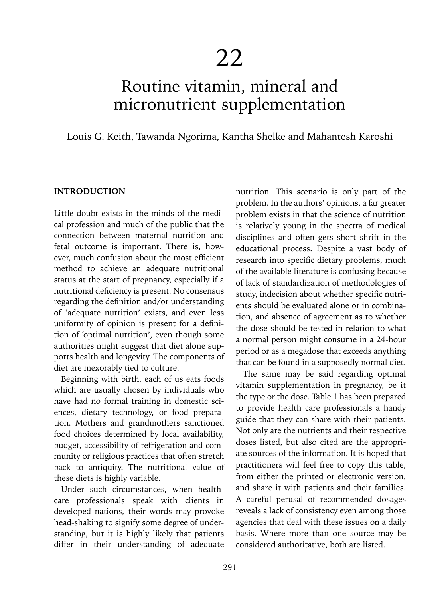# Routine vitamin, mineral and micronutrient supplementation

Louis G. Keith, Tawanda Ngorima, Kantha Shelke and Mahantesh Karoshi

#### **INTRODUCTION**

Little doubt exists in the minds of the medical profession and much of the public that the connection between maternal nutrition and fetal outcome is important. There is, however, much confusion about the most efficient method to achieve an adequate nutritional status at the start of pregnancy, especially if a nutritional deficiency is present. No consensus regarding the definition and/or understanding of 'adequate nutrition' exists, and even less uniformity of opinion is present for a definition of 'optimal nutrition', even though some authorities might suggest that diet alone supports health and longevity. The components of diet are inexorably tied to culture.

Beginning with birth, each of us eats foods which are usually chosen by individuals who have had no formal training in domestic sciences, dietary technology, or food preparation. Mothers and grandmothers sanctioned food choices determined by local availability, budget, accessibility of refrigeration and community or religious practices that often stretch back to antiquity. The nutritional value of these diets is highly variable.

Under such circumstances, when healthcare professionals speak with clients in developed nations, their words may provoke head-shaking to signify some degree of understanding, but it is highly likely that patients differ in their understanding of adequate

nutrition. This scenario is only part of the problem. In the authors' opinions, a far greater problem exists in that the science of nutrition is relatively young in the spectra of medical disciplines and often gets short shrift in the educational process. Despite a vast body of research into specific dietary problems, much of the available literature is confusing because of lack of standardization of methodologies of study, indecision about whether specific nutrients should be evaluated alone or in combination, and absence of agreement as to whether the dose should be tested in relation to what a normal person might consume in a 24-hour period or as a megadose that exceeds anything that can be found in a supposedly normal diet.

The same may be said regarding optimal vitamin supplementation in pregnancy, be it the type or the dose. Table 1 has been prepared to provide health care professionals a handy guide that they can share with their patients. Not only are the nutrients and their respective doses listed, but also cited are the appropriate sources of the information. It is hoped that practitioners will feel free to copy this table, from either the printed or electronic version, and share it with patients and their families. A careful perusal of recommended dosages reveals a lack of consistency even among those agencies that deal with these issues on a daily basis. Where more than one source may be considered authoritative, both are listed.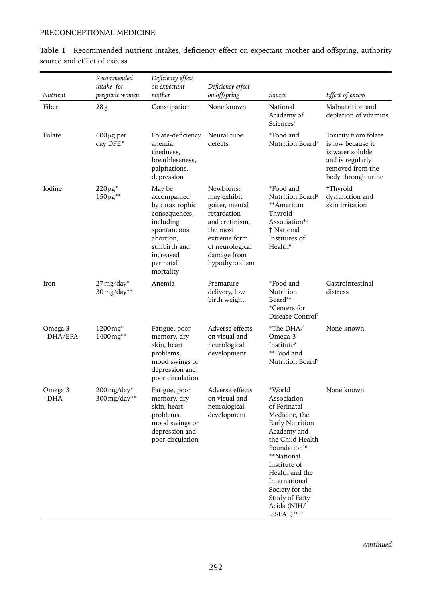#### PRECONCEPTIONAL MEDICINE

|                      | Recommended<br>intake for               | Deficiency effect<br>on expectant                                                                                                                           | Deficiency effect                                                                                                                                           |                                                                                                                                                                                                                                                                                              |                                                                                                                             |
|----------------------|-----------------------------------------|-------------------------------------------------------------------------------------------------------------------------------------------------------------|-------------------------------------------------------------------------------------------------------------------------------------------------------------|----------------------------------------------------------------------------------------------------------------------------------------------------------------------------------------------------------------------------------------------------------------------------------------------|-----------------------------------------------------------------------------------------------------------------------------|
| <b>Nutrient</b>      | pregnant women                          | mother                                                                                                                                                      | on offspring                                                                                                                                                | Source                                                                                                                                                                                                                                                                                       | Effect of excess                                                                                                            |
| Fiber                | 28g                                     | Constipation                                                                                                                                                | None known                                                                                                                                                  | National<br>Academy of<br>Science <sup>1</sup>                                                                                                                                                                                                                                               | Malnutrition and<br>depletion of vitamins                                                                                   |
| Folate               | $600 \mu g$ per<br>day DFE*             | Folate-deficiency<br>anemia:<br>tiredness.<br>breathlessness.<br>palpitations,<br>depression                                                                | Neural tube<br>defects                                                                                                                                      | *Food and<br>Nutrition Board <sup>2</sup>                                                                                                                                                                                                                                                    | Toxicity from folate<br>is low because it<br>is water soluble<br>and is regularly<br>removed from the<br>body through urine |
| Iodine               | $220 \mu g^*$<br>$150 \,\mu g^{**}$     | May be<br>accompanied<br>by catastrophic<br>consequences,<br>including<br>spontaneous<br>abortion,<br>stillbirth and<br>increased<br>perinatal<br>mortality | Newborns:<br>may exhibit<br>goiter, mental<br>retardation<br>and cretinism,<br>the most<br>extreme form<br>of neurological<br>damage from<br>hypothyroidism | *Food and<br>Nutrition Board <sup>3</sup><br>**American<br>Thyroid<br>Association <sup>4,5</sup><br>† National<br>Institutes of<br>Health <sup>6</sup>                                                                                                                                       | †Thyroid<br>dysfunction and<br>skin irritation                                                                              |
| Iron                 | $27 \,\mathrm{mg/day}^*$<br>30 mg/day** | Anemia                                                                                                                                                      | Premature<br>delivery, low<br>birth weight                                                                                                                  | *Food and<br>Nutrition<br>Board <sup>3*</sup><br>*Centers for<br>Disease Control <sup>7</sup>                                                                                                                                                                                                | Gastrointestinal<br>distress                                                                                                |
| Omega 3<br>- DHA/EPA | 1200 mg*<br>1400mg**                    | Fatigue, poor<br>memory, dry<br>skin, heart<br>problems,<br>mood swings or<br>depression and<br>poor circulation                                            | Adverse effects<br>on visual and<br>neurological<br>development                                                                                             | *The DHA/<br>Omega-3<br>Institute <sup>8</sup><br>**Food and<br>Nutrition Board <sup>9</sup>                                                                                                                                                                                                 | None known                                                                                                                  |
| Omega 3<br>- DHA     | 200 mg/day*<br>300 mg/day**             | Fatigue, poor<br>memory, dry<br>skin, heart<br>problems,<br>mood swings or<br>depression and<br>poor circulation                                            | Adverse effects<br>on visual and<br>neurological<br>development                                                                                             | *World<br>Association<br>of Perinatal<br>Medicine, the<br>Early Nutrition<br>Academy and<br>the Child Health<br>Foundation <sup>10</sup><br>**National<br>Institute of<br>Health and the<br>International<br>Society for the<br>Study of Fatty<br>Acids (NIH/<br>$ISSFAL$ ) <sup>11,12</sup> | None known                                                                                                                  |

**Table 1** Recommended nutrient intakes, deficiency effect on expectant mother and offspring, authority source and effect of excess

*continued*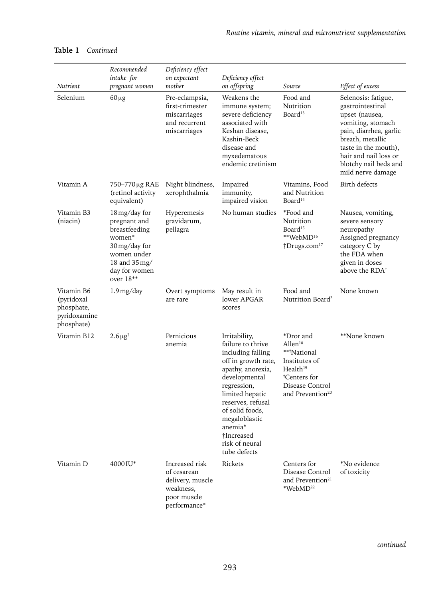|                                                                      | Recommended<br>intake for                                                                                                                                          | Deficiency effect<br>on expectant                                                             | Deficiency effect                                                                                                                                                                                                                                                          |                                                                                                                                                             |                                                                                                                                                                                                                             |
|----------------------------------------------------------------------|--------------------------------------------------------------------------------------------------------------------------------------------------------------------|-----------------------------------------------------------------------------------------------|----------------------------------------------------------------------------------------------------------------------------------------------------------------------------------------------------------------------------------------------------------------------------|-------------------------------------------------------------------------------------------------------------------------------------------------------------|-----------------------------------------------------------------------------------------------------------------------------------------------------------------------------------------------------------------------------|
| Nutrient                                                             | pregnant women                                                                                                                                                     | mother                                                                                        | on offspring                                                                                                                                                                                                                                                               | Source                                                                                                                                                      | Effect of excess                                                                                                                                                                                                            |
| Selenium                                                             | $60 \mu g$                                                                                                                                                         | Pre-eclampsia,<br>first-trimester<br>miscarriages<br>and recurrent<br>miscarriages            | Weakens the<br>immune system;<br>severe deficiency<br>associated with<br>Keshan disease,<br>Kashin-Beck<br>disease and<br>myxedematous<br>endemic cretinism                                                                                                                | Food and<br>Nutrition<br>Board <sup>13</sup>                                                                                                                | Selenosis: fatigue,<br>gastrointestinal<br>upset (nausea,<br>vomiting, stomach<br>pain, diarrhea, garlic<br>breath, metallic<br>taste in the mouth),<br>hair and nail loss or<br>blotchy nail beds and<br>mild nerve damage |
| Vitamin A                                                            | 750-770 µg RAE<br>(retinol activity<br>equivalent)                                                                                                                 | Night blindness,<br>xerophthalmia                                                             | Impaired<br>immunity,<br>impaired vision                                                                                                                                                                                                                                   | Vitamins, Food<br>and Nutrition<br>Board <sup>14</sup>                                                                                                      | Birth defects                                                                                                                                                                                                               |
| Vitamin B3<br>(niacin)                                               | 18 mg/day for<br>pregnant and<br>breastfeeding<br>women*<br>$30 \,\mathrm{mg/day}$ for<br>women under<br>18 and $35 \,\mathrm{mg}$<br>day for women<br>over $18**$ | Hyperemesis<br>gravidarum,<br>pellagra                                                        | No human studies                                                                                                                                                                                                                                                           | *Food and<br>Nutrition<br>Board <sup>15</sup><br>**WebMD <sup>16</sup><br>$\dagger$ Drugs.com <sup>17</sup>                                                 | Nausea, vomiting,<br>severe sensory<br>neuropathy<br>Assigned pregnancy<br>category C by<br>the FDA when<br>given in doses<br>above the RDA <sup>†</sup>                                                                    |
| Vitamin B6<br>(pyridoxal<br>phosphate,<br>pyridoxamine<br>phosphate) | $1.9 \,\mathrm{mg/day}$                                                                                                                                            | Overt symptoms<br>are rare                                                                    | May result in<br>lower APGAR<br>scores                                                                                                                                                                                                                                     | Food and<br>Nutrition Board <sup>2</sup>                                                                                                                    | None known                                                                                                                                                                                                                  |
| Vitamin B12                                                          | $2.6 \,\mu\text{g}^{\dagger}$                                                                                                                                      | Pernicious<br>anemia                                                                          | Irritability,<br>failure to thrive<br>including falling<br>off in growth rate,<br>apathy, anorexia,<br>developmental<br>regression,<br>limited hepatic<br>reserves, refusal<br>of solid foods,<br>megaloblastic<br>anemia*<br>†Increased<br>risk of neural<br>tube defects | *Dror and<br>Allen <sup>18</sup><br>**†National<br>Institutes of<br>Health <sup>19</sup><br>†Centers for<br>Disease Control<br>and Prevention <sup>20</sup> | **None known                                                                                                                                                                                                                |
| Vitamin D                                                            | 4000IU*                                                                                                                                                            | Increased risk<br>of cesarean<br>delivery, muscle<br>weakness,<br>poor muscle<br>performance* | Rickets                                                                                                                                                                                                                                                                    | Centers for<br>Disease Control<br>and Prevention <sup>21</sup><br>*WebMD <sup>22</sup>                                                                      | *No evidence<br>of toxicity                                                                                                                                                                                                 |

#### **Table 1** *Continued*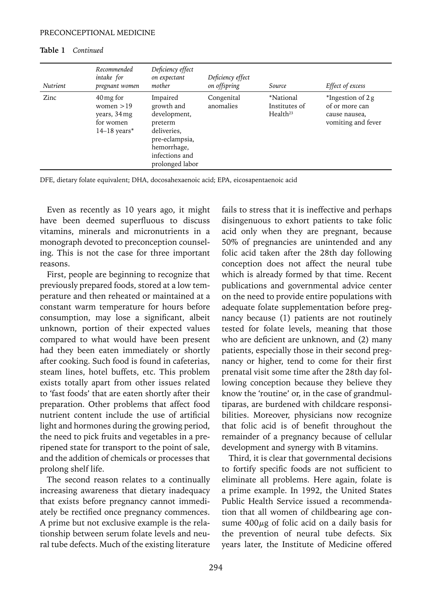| Nutrient | Recommended<br>intake for<br>pregnant women                                          | Deficiency effect<br>on expectant<br>mother                                                                                            | Deficiency effect<br>on offspring | Source                                             | Effect of excess                                                              |
|----------|--------------------------------------------------------------------------------------|----------------------------------------------------------------------------------------------------------------------------------------|-----------------------------------|----------------------------------------------------|-------------------------------------------------------------------------------|
| Zinc     | $40 \,\mathrm{mg}$ for<br>women $>19$<br>years, 34 mg<br>for women<br>$14-18$ years* | Impaired<br>growth and<br>development,<br>preterm<br>deliveries.<br>pre-eclampsia,<br>hemorrhage,<br>infections and<br>prolonged labor | Congenital<br>anomalies           | *National<br>Institutes of<br>Health <sup>23</sup> | $*$ Ingestion of 2 g<br>of or more can<br>cause nausea,<br>vomiting and fever |

#### **Table 1** *Continued*

DFE, dietary folate equivalent; DHA, docosahexaenoic acid; EPA, eicosapentaenoic acid

Even as recently as 10 years ago, it might have been deemed superfluous to discuss vitamins, minerals and micronutrients in a monograph devoted to preconception counseling. This is not the case for three important reasons.

First, people are beginning to recognize that previously prepared foods, stored at a low temperature and then reheated or maintained at a constant warm temperature for hours before consumption, may lose a significant, albeit unknown, portion of their expected values compared to what would have been present had they been eaten immediately or shortly after cooking. Such food is found in cafeterias, steam lines, hotel buffets, etc. This problem exists totally apart from other issues related to 'fast foods' that are eaten shortly after their preparation. Other problems that affect food nutrient content include the use of artificial light and hormones during the growing period, the need to pick fruits and vegetables in a preripened state for transport to the point of sale, and the addition of chemicals or processes that prolong shelf life.

The second reason relates to a continually increasing awareness that dietary inadequacy that exists before pregnancy cannot immediately be rectified once pregnancy commences. A prime but not exclusive example is the relationship between serum folate levels and neural tube defects. Much of the existing literature fails to stress that it is ineffective and perhaps disingenuous to exhort patients to take folic acid only when they are pregnant, because 50% of pregnancies are unintended and any folic acid taken after the 28th day following conception does not affect the neural tube which is already formed by that time. Recent publications and governmental advice center on the need to provide entire populations with adequate folate supplementation before pregnancy because (1) patients are not routinely tested for folate levels, meaning that those who are deficient are unknown, and (2) many patients, especially those in their second pregnancy or higher, tend to come for their first prenatal visit some time after the 28th day following conception because they believe they know the 'routine' or, in the case of grandmultiparas, are burdened with childcare responsibilities. Moreover, physicians now recognize that folic acid is of benefit throughout the remainder of a pregnancy because of cellular development and synergy with B vitamins.

Third, it is clear that governmental decisions to fortify specific foods are not sufficient to eliminate all problems. Here again, folate is a prime example. In 1992, the United States Public Health Service issued a recommendation that all women of childbearing age consume  $400\mu$ g of folic acid on a daily basis for the prevention of neural tube defects. Six years later, the Institute of Medicine offered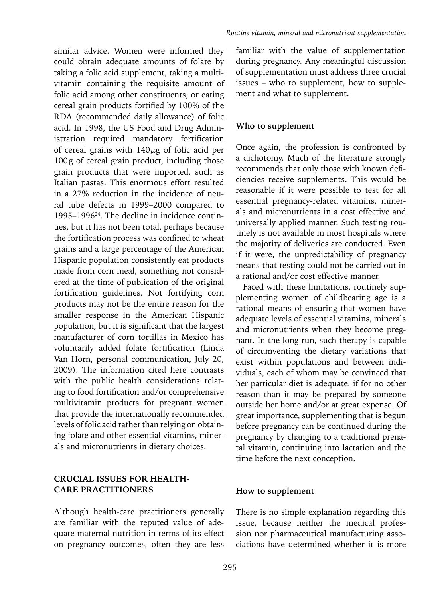similar advice. Women were informed they could obtain adequate amounts of folate by taking a folic acid supplement, taking a multivitamin containing the requisite amount of folic acid among other constituents, or eating cereal grain products fortified by 100% of the RDA (recommended daily allowance) of folic acid. In 1998, the US Food and Drug Administration required mandatory fortification of cereal grains with  $140\mu$ g of folic acid per 100g of cereal grain product, including those grain products that were imported, such as Italian pastas. This enormous effort resulted in a 27% reduction in the incidence of neural tube defects in 1999–2000 compared to 1995–199624. The decline in incidence continues, but it has not been total, perhaps because the fortification process was confined to wheat grains and a large percentage of the American Hispanic population consistently eat products made from corn meal, something not considered at the time of publication of the original fortification guidelines. Not fortifying corn products may not be the entire reason for the smaller response in the American Hispanic population, but it is significant that the largest manufacturer of corn tortillas in Mexico has voluntarily added folate fortification (Linda Van Horn, personal communication, July 20, 2009). The information cited here contrasts with the public health considerations relating to food fortification and/or comprehensive multivitamin products for pregnant women that provide the internationally recommended levels of folic acid rather than relying on obtaining folate and other essential vitamins, minerals and micronutrients in dietary choices.

#### **CRUCIAL ISSUES FOR HEALTH-CARE PRACTITIONERS**

Although health-care practitioners generally are familiar with the reputed value of adequate maternal nutrition in terms of its effect on pregnancy outcomes, often they are less

familiar with the value of supplementation during pregnancy. Any meaningful discussion of supplementation must address three crucial issues – who to supplement, how to supplement and what to supplement.

#### **Who to supplement**

Once again, the profession is confronted by a dichotomy. Much of the literature strongly recommends that only those with known deficiencies receive supplements. This would be reasonable if it were possible to test for all essential pregnancy-related vitamins, minerals and micronutrients in a cost effective and universally applied manner. Such testing routinely is not available in most hospitals where the majority of deliveries are conducted. Even if it were, the unpredictability of pregnancy means that testing could not be carried out in a rational and/or cost effective manner.

Faced with these limitations, routinely supplementing women of childbearing age is a rational means of ensuring that women have adequate levels of essential vitamins, minerals and micronutrients when they become pregnant. In the long run, such therapy is capable of circumventing the dietary variations that exist within populations and between individuals, each of whom may be convinced that her particular diet is adequate, if for no other reason than it may be prepared by someone outside her home and/or at great expense. Of great importance, supplementing that is begun before pregnancy can be continued during the pregnancy by changing to a traditional prenatal vitamin, continuing into lactation and the time before the next conception.

#### **How to supplement**

There is no simple explanation regarding this issue, because neither the medical profession nor pharmaceutical manufacturing associations have determined whether it is more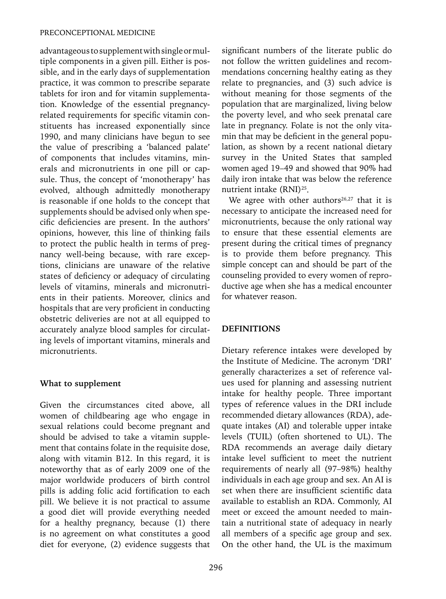advantageous to supplement with single or multiple components in a given pill. Either is possible, and in the early days of supplementation practice, it was common to prescribe separate tablets for iron and for vitamin supplementation. Knowledge of the essential pregnancyrelated requirements for specific vitamin constituents has increased exponentially since 1990, and many clinicians have begun to see the value of prescribing a 'balanced palate' of components that includes vitamins, minerals and micronutrients in one pill or capsule. Thus, the concept of 'monotherapy' has evolved, although admittedly monotherapy is reasonable if one holds to the concept that supplements should be advised only when specific deficiencies are present. In the authors' opinions, however, this line of thinking fails to protect the public health in terms of pregnancy well-being because, with rare exceptions, clinicians are unaware of the relative states of deficiency or adequacy of circulating levels of vitamins, minerals and micronutrients in their patients. Moreover, clinics and hospitals that are very proficient in conducting obstetric deliveries are not at all equipped to accurately analyze blood samples for circulating levels of important vitamins, minerals and micronutrients.

### **What to supplement**

Given the circumstances cited above, all women of childbearing age who engage in sexual relations could become pregnant and should be advised to take a vitamin supplement that contains folate in the requisite dose, along with vitamin B12. In this regard, it is noteworthy that as of early 2009 one of the major worldwide producers of birth control pills is adding folic acid fortification to each pill. We believe it is not practical to assume a good diet will provide everything needed for a healthy pregnancy, because (1) there is no agreement on what constitutes a good diet for everyone, (2) evidence suggests that significant numbers of the literate public do not follow the written guidelines and recommendations concerning healthy eating as they relate to pregnancies, and (3) such advice is without meaning for those segments of the population that are marginalized, living below the poverty level, and who seek prenatal care late in pregnancy. Folate is not the only vitamin that may be deficient in the general population, as shown by a recent national dietary survey in the United States that sampled women aged 19–49 and showed that 90% had daily iron intake that was below the reference nutrient intake (RNI)25.

We agree with other authors<sup>26,27</sup> that it is necessary to anticipate the increased need for micronutrients, because the only rational way to ensure that these essential elements are present during the critical times of pregnancy is to provide them before pregnancy. This simple concept can and should be part of the counseling provided to every women of reproductive age when she has a medical encounter for whatever reason.

### **DEFINITIONS**

Dietary reference intakes were developed by the Institute of Medicine. The acronym 'DRI' generally characterizes a set of reference values used for planning and assessing nutrient intake for healthy people. Three important types of reference values in the DRI include recommended dietary allowances (RDA), adequate intakes (AI) and tolerable upper intake levels (TUIL) (often shortened to UL). The RDA recommends an average daily dietary intake level sufficient to meet the nutrient requirements of nearly all (97–98%) healthy individuals in each age group and sex. An AI is set when there are insufficient scientific data available to establish an RDA. Commonly, AI meet or exceed the amount needed to maintain a nutritional state of adequacy in nearly all members of a specific age group and sex. On the other hand, the UL is the maximum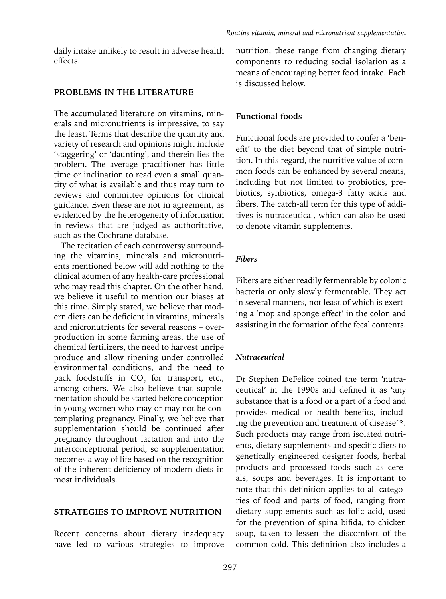daily intake unlikely to result in adverse health effects.

#### **PROBLEMS IN THE LITERATURE**

The accumulated literature on vitamins, minerals and micronutrients is impressive, to say the least. Terms that describe the quantity and variety of research and opinions might include 'staggering' or 'daunting', and therein lies the problem. The average practitioner has little time or inclination to read even a small quantity of what is available and thus may turn to reviews and committee opinions for clinical guidance. Even these are not in agreement, as evidenced by the heterogeneity of information in reviews that are judged as authoritative, such as the Cochrane database.

The recitation of each controversy surrounding the vitamins, minerals and micronutrients mentioned below will add nothing to the clinical acumen of any health-care professional who may read this chapter. On the other hand, we believe it useful to mention our biases at this time. Simply stated, we believe that modern diets can be deficient in vitamins, minerals and micronutrients for several reasons – overproduction in some farming areas, the use of chemical fertilizers, the need to harvest unripe produce and allow ripening under controlled environmental conditions, and the need to pack foodstuffs in  $CO_2$  for transport, etc., among others. We also believe that supplementation should be started before conception in young women who may or may not be contemplating pregnancy. Finally, we believe that supplementation should be continued after pregnancy throughout lactation and into the interconceptional period, so supplementation becomes a way of life based on the recognition of the inherent deficiency of modern diets in most individuals.

#### **STRATEGIES TO IMPROVE NUTRITION**

Recent concerns about dietary inadequacy have led to various strategies to improve nutrition; these range from changing dietary components to reducing social isolation as a means of encouraging better food intake. Each is discussed below.

#### **Functional foods**

Functional foods are provided to confer a 'benefit' to the diet beyond that of simple nutrition. In this regard, the nutritive value of common foods can be enhanced by several means, including but not limited to probiotics, prebiotics, synbiotics, omega-3 fatty acids and fibers. The catch-all term for this type of additives is nutraceutical, which can also be used to denote vitamin supplements.

#### *Fibers*

Fibers are either readily fermentable by colonic bacteria or only slowly fermentable. They act in several manners, not least of which is exerting a 'mop and sponge effect' in the colon and assisting in the formation of the fecal contents.

#### *Nutraceutical*

Dr Stephen DeFelice coined the term 'nutraceutical' in the 1990s and defined it as 'any substance that is a food or a part of a food and provides medical or health benefits, including the prevention and treatment of disease'28. Such products may range from isolated nutrients, dietary supplements and specific diets to genetically engineered designer foods, herbal products and processed foods such as cereals, soups and beverages. It is important to note that this definition applies to all categories of food and parts of food, ranging from dietary supplements such as folic acid, used for the prevention of spina bifida, to chicken soup, taken to lessen the discomfort of the common cold. This definition also includes a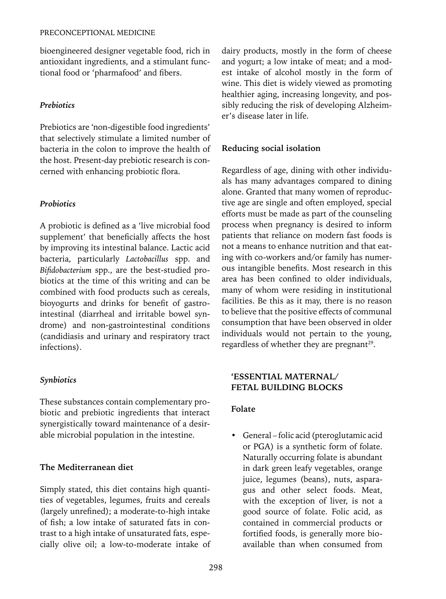bioengineered designer vegetable food, rich in antioxidant ingredients, and a stimulant functional food or 'pharmafood' and fibers.

### *Prebiotics*

Prebiotics are 'non-digestible food ingredients' that selectively stimulate a limited number of bacteria in the colon to improve the health of the host. Present-day prebiotic research is concerned with enhancing probiotic flora.

## *Probiotics*

A probiotic is defined as a 'live microbial food supplement' that beneficially affects the host by improving its intestinal balance. Lactic acid bacteria, particularly *Lactobacillus* spp. and *Bifidobacterium* spp., are the best-studied probiotics at the time of this writing and can be combined with food products such as cereals, bioyogurts and drinks for benefit of gastrointestinal (diarrheal and irritable bowel syndrome) and non-gastrointestinal conditions (candidiasis and urinary and respiratory tract infections).

# *Synbiotics*

These substances contain complementary probiotic and prebiotic ingredients that interact synergistically toward maintenance of a desirable microbial population in the intestine.

### **The Mediterranean diet**

Simply stated, this diet contains high quantities of vegetables, legumes, fruits and cereals (largely unrefined); a moderate-to-high intake of fish; a low intake of saturated fats in contrast to a high intake of unsaturated fats, especially olive oil; a low-to-moderate intake of dairy products, mostly in the form of cheese and yogurt; a low intake of meat; and a modest intake of alcohol mostly in the form of wine. This diet is widely viewed as promoting healthier aging, increasing longevity, and possibly reducing the risk of developing Alzheimer's disease later in life.

# **Reducing social isolation**

Regardless of age, dining with other individuals has many advantages compared to dining alone. Granted that many women of reproductive age are single and often employed, special efforts must be made as part of the counseling process when pregnancy is desired to inform patients that reliance on modern fast foods is not a means to enhance nutrition and that eating with co-workers and/or family has numerous intangible benefits. Most research in this area has been confined to older individuals, many of whom were residing in institutional facilities. Be this as it may, there is no reason to believe that the positive effects of communal consumption that have been observed in older individuals would not pertain to the young, regardless of whether they are pregnant<sup>29</sup>.

### **'ESSENTIAL MATERNAL/ FETAL BUILDING BLOCKS**

### **Folate**

• General – folic acid (pteroglutamic acid or PGA) is a synthetic form of folate. Naturally occurring folate is abundant in dark green leafy vegetables, orange juice, legumes (beans), nuts, asparagus and other select foods. Meat, with the exception of liver, is not a good source of folate. Folic acid, as contained in commercial products or fortified foods, is generally more bioavailable than when consumed from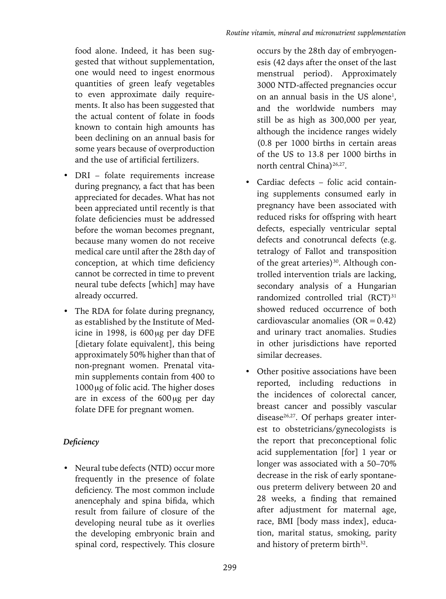food alone. Indeed, it has been suggested that without supplementation, one would need to ingest enormous quantities of green leafy vegetables to even approximate daily requirements. It also has been suggested that the actual content of folate in foods known to contain high amounts has been declining on an annual basis for some years because of overproduction and the use of artificial fertilizers.

- DRI folate requirements increase during pregnancy, a fact that has been appreciated for decades. What has not been appreciated until recently is that folate deficiencies must be addressed before the woman becomes pregnant, because many women do not receive medical care until after the 28th day of conception, at which time deficiency cannot be corrected in time to prevent neural tube defects [which] may have already occurred.
- The RDA for folate during pregnancy, as established by the Institute of Medicine in 1998, is  $600 \mu$ g per day DFE [dietary folate equivalent], this being approximately 50% higher than that of non-pregnant women. Prenatal vitamin supplements contain from 400 to  $1000 \,\mathrm{\upmu g}$  of folic acid. The higher doses are in excess of the  $600\,\mu$ g per day folate DFE for pregnant women.

# *Deficiency*

• Neural tube defects (NTD) occur more frequently in the presence of folate deficiency. The most common include anencephaly and spina bifida, which result from failure of closure of the developing neural tube as it overlies the developing embryonic brain and spinal cord, respectively. This closure

occurs by the 28th day of embryogenesis (42 days after the onset of the last menstrual period). Approximately 3000 NTD-affected pregnancies occur on an annual basis in the US alone<sup>1</sup>, and the worldwide numbers may still be as high as 300,000 per year, although the incidence ranges widely (0.8 per 1000 births in certain areas of the US to 13.8 per 1000 births in north central China)<sup>26,27</sup>.

- Cardiac defects folic acid containing supplements consumed early in pregnancy have been associated with reduced risks for offspring with heart defects, especially ventricular septal defects and conotruncal defects (e.g. tetralogy of Fallot and transposition of the great arteries)<sup>30</sup>. Although controlled intervention trials are lacking, secondary analysis of a Hungarian randomized controlled trial (RCT)<sup>31</sup> showed reduced occurrence of both cardiovascular anomalies  $(OR = 0.42)$ and urinary tract anomalies. Studies in other jurisdictions have reported similar decreases.
- Other positive associations have been reported, including reductions in the incidences of colorectal cancer, breast cancer and possibly vascular disease<sup>26,27</sup>. Of perhaps greater interest to obstetricians/gynecologists is the report that preconceptional folic acid supplementation [for] 1 year or longer was associated with a 50–70% decrease in the risk of early spontaneous preterm delivery between 20 and 28 weeks, a finding that remained after adjustment for maternal age, race, BMI [body mass index], education, marital status, smoking, parity and history of preterm birth<sup>32</sup>.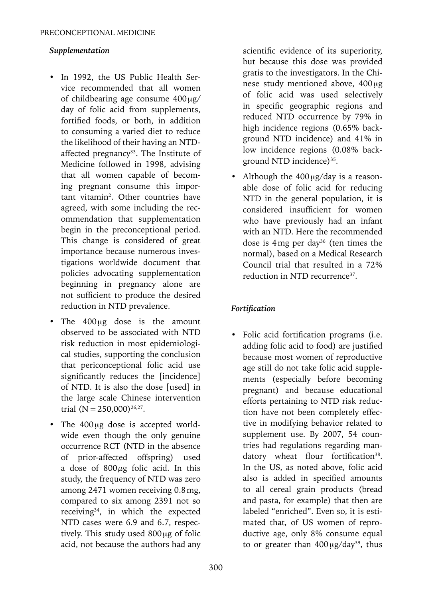### *Supplementation*

- In 1992, the US Public Health Service recommended that all women of childbearing age consume  $400 \mu g$ / day of folic acid from supplements, fortified foods, or both, in addition to consuming a varied diet to reduce the likelihood of their having an NTDaffected pregnancy<sup>33</sup>. The Institute of Medicine followed in 1998, advising that all women capable of becoming pregnant consume this important vitamin<sup>2</sup>. Other countries have agreed, with some including the recommendation that supplementation begin in the preconceptional period. This change is considered of great importance because numerous investigations worldwide document that policies advocating supplementation beginning in pregnancy alone are not sufficient to produce the desired reduction in NTD prevalence.
- The  $400\mu$ g dose is the amount observed to be associated with NTD risk reduction in most epidemiological studies, supporting the conclusion that periconceptional folic acid use significantly reduces the [incidence] of NTD. It is also the dose [used] in the large scale Chinese intervention trial  $(N=250,000)^{26,27}$ .
- The 400 µg dose is accepted worldwide even though the only genuine occurrence RCT (NTD in the absence of prior-affected offspring) used a dose of  $800\mu$ g folic acid. In this study, the frequency of NTD was zero among 2471 women receiving 0.8mg, compared to six among 2391 not so receiving<sup>34</sup>, in which the expected NTD cases were 6.9 and 6.7, respectively. This study used  $800 \mu$ g of folic acid, not because the authors had any

scientific evidence of its superiority, but because this dose was provided gratis to the investigators. In the Chinese study mentioned above,  $400 \mu$ g of folic acid was used selectively in specific geographic regions and reduced NTD occurrence by 79% in high incidence regions (0.65% background NTD incidence) and 41% in low incidence regions (0.08% background NTD incidence) $35$ .

• Although the  $400 \mu g/day$  is a reasonable dose of folic acid for reducing NTD in the general population, it is considered insufficient for women who have previously had an infant with an NTD. Here the recommended dose is  $4mg$  per day<sup>36</sup> (ten times the normal), based on a Medical Research Council trial that resulted in a 72% reduction in NTD recurrence<sup>37</sup>.

# *Fortification*

Folic acid fortification programs (i.e. adding folic acid to food) are justified because most women of reproductive age still do not take folic acid supplements (especially before becoming pregnant) and because educational efforts pertaining to NTD risk reduction have not been completely effective in modifying behavior related to supplement use. By 2007, 54 countries had regulations regarding mandatory wheat flour fortification<sup>38</sup>. In the US, as noted above, folic acid also is added in specified amounts to all cereal grain products (bread and pasta, for example) that then are labeled "enriched". Even so, it is estimated that, of US women of reproductive age, only 8% consume equal to or greater than  $400 \mu g/day^{39}$ , thus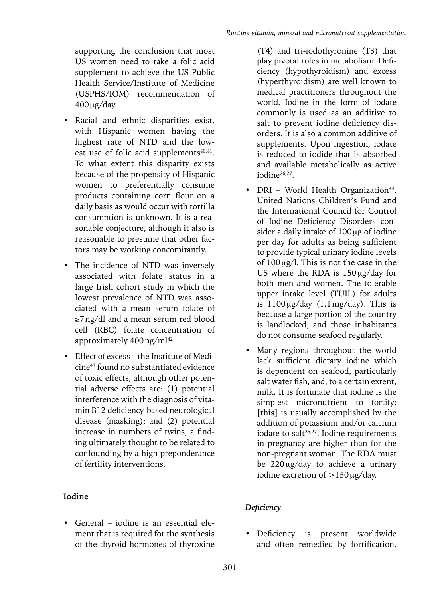supporting the conclusion that most US women need to take a folic acid supplement to achieve the US Public Health Service/Institute of Medicine (USPHS/IOM) recommendation of  $400 \mu g/day$ .

- Racial and ethnic disparities exist, with Hispanic women having the highest rate of NTD and the lowest use of folic acid supplements<sup>40,41</sup>. To what extent this disparity exists because of the propensity of Hispanic women to preferentially consume products containing corn flour on a daily basis as would occur with tortilla consumption is unknown. It is a reasonable conjecture, although it also is reasonable to presume that other factors may be working concomitantly.
- The incidence of NTD was inversely associated with folate status in a large Irish cohort study in which the lowest prevalence of NTD was associated with a mean serum folate of ≥7ng/dl and a mean serum red blood cell (RBC) folate concentration of approximately 400 ng/ml<sup>42</sup>.
- Effect of excess the Institute of Medicine43 found no substantiated evidence of toxic effects, although other potential adverse effects are: (1) potential interference with the diagnosis of vitamin B12 deficiency-based neurological disease (masking); and (2) potential increase in numbers of twins, a finding ultimately thought to be related to confounding by a high preponderance of fertility interventions.

# **Iodine**

• General – iodine is an essential element that is required for the synthesis of the thyroid hormones of thyroxine

(T4) and tri-iodothyronine (T3) that play pivotal roles in metabolism. Deficiency (hypothyroidism) and excess (hyperthyroidism) are well known to medical practitioners throughout the world. Iodine in the form of iodate commonly is used as an additive to salt to prevent iodine deficiency disorders. It is also a common additive of supplements. Upon ingestion, iodate is reduced to iodide that is absorbed and available metabolically as active iodine26,27.

- DRI World Health Organization<sup>44</sup>, United Nations Children's Fund and the International Council for Control of Iodine Deficiency Disorders consider a daily intake of  $100 \mu$ g of iodine per day for adults as being sufficient to provide typical urinary iodine levels of  $100 \mu g/l$ . This is not the case in the US where the RDA is  $150 \mu g/day$  for both men and women. The tolerable upper intake level (TUIL) for adults is  $1100 \mu g/day$  (1.1mg/day). This is because a large portion of the country is landlocked, and those inhabitants do not consume seafood regularly.
- Many regions throughout the world lack sufficient dietary iodine which is dependent on seafood, particularly salt water fish, and, to a certain extent, milk. It is fortunate that iodine is the simplest micronutrient to fortify; [this] is usually accomplished by the addition of potassium and/or calcium iodate to salt<sup>26,27</sup>. Iodine requirements in pregnancy are higher than for the non-pregnant woman. The RDA must be  $220 \mu g/day$  to achieve a urinary iodine excretion of  $>150 \mu g/day$ .

# *Deficiency*

• Deficiency is present worldwide and often remedied by fortification,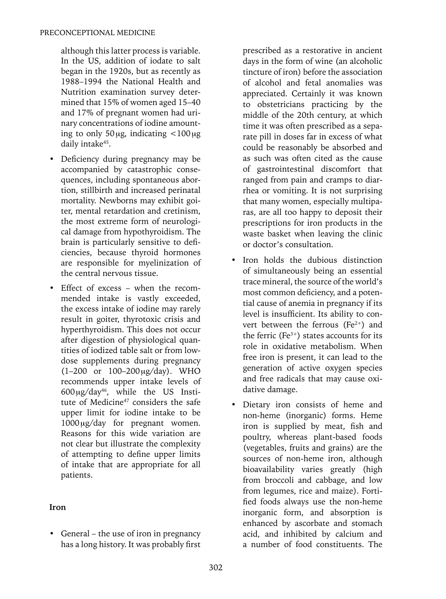although this latter process is variable. In the US, addition of iodate to salt began in the 1920s, but as recently as 1988–1994 the National Health and Nutrition examination survey determined that 15% of women aged 15–40 and 17% of pregnant women had urinary concentrations of iodine amounting to only  $50 \mu$ g, indicating  $\lt 100 \mu$ g daily intake<sup>45</sup>.

- Deficiency during pregnancy may be accompanied by catastrophic consequences, including spontaneous abortion, stillbirth and increased perinatal mortality. Newborns may exhibit goiter, mental retardation and cretinism, the most extreme form of neurological damage from hypothyroidism. The brain is particularly sensitive to deficiencies, because thyroid hormones are responsible for myelinization of the central nervous tissue.
- Effect of excess when the recommended intake is vastly exceeded, the excess intake of iodine may rarely result in goiter, thyrotoxic crisis and hyperthyroidism. This does not occur after digestion of physiological quantities of iodized table salt or from lowdose supplements during pregnancy  $(1-200 \text{ or } 100-200 \text{ µg/day})$ . WHO recommends upper intake levels of  $600 \mu g/day^{46}$ , while the US Institute of Medicine<sup>47</sup> considers the safe upper limit for iodine intake to be 1000<sub>ug</sub>/day for pregnant women. Reasons for this wide variation are not clear but illustrate the complexity of attempting to define upper limits of intake that are appropriate for all patients.

### **Iron**

• General – the use of iron in pregnancy has a long history. It was probably first prescribed as a restorative in ancient days in the form of wine (an alcoholic tincture of iron) before the association of alcohol and fetal anomalies was appreciated. Certainly it was known to obstetricians practicing by the middle of the 20th century, at which time it was often prescribed as a separate pill in doses far in excess of what could be reasonably be absorbed and as such was often cited as the cause of gastrointestinal discomfort that ranged from pain and cramps to diarrhea or vomiting. It is not surprising that many women, especially multiparas, are all too happy to deposit their prescriptions for iron products in the waste basket when leaving the clinic or doctor's consultation.

- Iron holds the dubious distinction of simultaneously being an essential trace mineral, the source of the world's most common deficiency, and a potential cause of anemia in pregnancy if its level is insufficient. Its ability to convert between the ferrous  $(Fe^{2+})$  and the ferric  $(Fe^{3+})$  states accounts for its role in oxidative metabolism. When free iron is present, it can lead to the generation of active oxygen species and free radicals that may cause oxidative damage.
- Dietary iron consists of heme and non-heme (inorganic) forms. Heme iron is supplied by meat, fish and poultry, whereas plant-based foods (vegetables, fruits and grains) are the sources of non-heme iron, although bioavailability varies greatly (high from broccoli and cabbage, and low from legumes, rice and maize). Fortified foods always use the non-heme inorganic form, and absorption is enhanced by ascorbate and stomach acid, and inhibited by calcium and a number of food constituents. The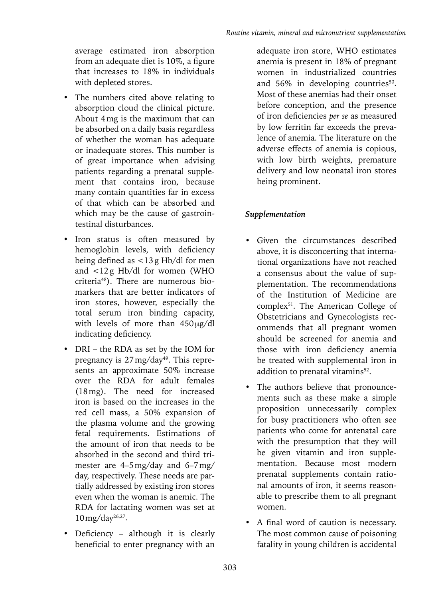average estimated iron absorption from an adequate diet is 10%, a figure that increases to 18% in individuals with depleted stores.

- The numbers cited above relating to absorption cloud the clinical picture. About 4mg is the maximum that can be absorbed on a daily basis regardless of whether the woman has adequate or inadequate stores. This number is of great importance when advising patients regarding a prenatal supplement that contains iron, because many contain quantities far in excess of that which can be absorbed and which may be the cause of gastrointestinal disturbances.
- Iron status is often measured by hemoglobin levels, with deficiency being defined as <13g Hb/dl for men and <12g Hb/dl for women (WHO criteria48). There are numerous biomarkers that are better indicators of iron stores, however, especially the total serum iron binding capacity, with levels of more than  $450 \mu g/dl$ indicating deficiency.
- DRI the RDA as set by the IOM for pregnancy is 27 mg/day<sup>49</sup>. This represents an approximate 50% increase over the RDA for adult females (18mg). The need for increased iron is based on the increases in the red cell mass, a 50% expansion of the plasma volume and the growing fetal requirements. Estimations of the amount of iron that needs to be absorbed in the second and third trimester are 4–5mg/day and 6–7mg/ day, respectively. These needs are partially addressed by existing iron stores even when the woman is anemic. The RDA for lactating women was set at 10mg/day26,27.
- Deficiency although it is clearly beneficial to enter pregnancy with an

adequate iron store, WHO estimates anemia is present in 18% of pregnant women in industrialized countries and  $56\%$  in developing countries<sup>50</sup>. Most of these anemias had their onset before conception, and the presence of iron deficiencies *per se* as measured by low ferritin far exceeds the prevalence of anemia. The literature on the adverse effects of anemia is copious, with low birth weights, premature delivery and low neonatal iron stores being prominent.

## *Supplementation*

- Given the circumstances described above, it is disconcerting that international organizations have not reached a consensus about the value of supplementation. The recommendations of the Institution of Medicine are complex<sup>51</sup>. The American College of Obstetricians and Gynecologists recommends that all pregnant women should be screened for anemia and those with iron deficiency anemia be treated with supplemental iron in addition to prenatal vitamins<sup>52</sup>.
- The authors believe that pronouncements such as these make a simple proposition unnecessarily complex for busy practitioners who often see patients who come for antenatal care with the presumption that they will be given vitamin and iron supplementation. Because most modern prenatal supplements contain rational amounts of iron, it seems reasonable to prescribe them to all pregnant women.
- A final word of caution is necessary. The most common cause of poisoning fatality in young children is accidental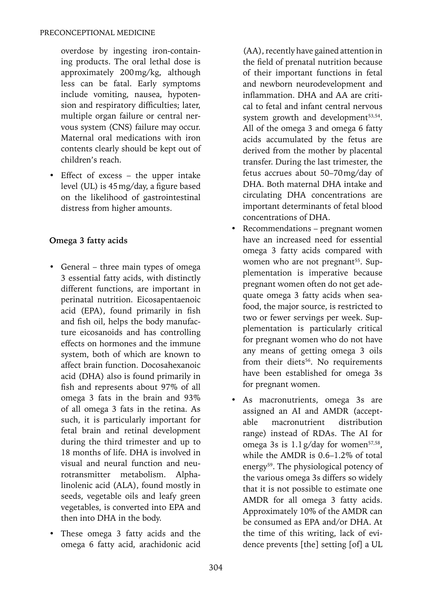overdose by ingesting iron-containing products. The oral lethal dose is approximately 200mg/kg, although less can be fatal. Early symptoms include vomiting, nausea, hypotension and respiratory difficulties; later, multiple organ failure or central nervous system (CNS) failure may occur. Maternal oral medications with iron contents clearly should be kept out of children's reach.

• Effect of excess – the upper intake level (UL) is 45mg/day, a figure based on the likelihood of gastrointestinal distress from higher amounts.

# **Omega 3 fatty acids**

- General three main types of omega 3 essential fatty acids, with distinctly different functions, are important in perinatal nutrition. Eicosapentaenoic acid (EPA), found primarily in fish and fish oil, helps the body manufacture eicosanoids and has controlling effects on hormones and the immune system, both of which are known to affect brain function. Docosahexanoic acid (DHA) also is found primarily in fish and represents about 97% of all omega 3 fats in the brain and 93% of all omega 3 fats in the retina. As such, it is particularly important for fetal brain and retinal development during the third trimester and up to 18 months of life. DHA is involved in visual and neural function and neurotransmitter metabolism. Alphalinolenic acid (ALA), found mostly in seeds, vegetable oils and leafy green vegetables, is converted into EPA and then into DHA in the body.
- These omega 3 fatty acids and the omega 6 fatty acid, arachidonic acid

(AA), recently have gained attention in the field of prenatal nutrition because of their important functions in fetal and newborn neurodevelopment and inflammation. DHA and AA are critical to fetal and infant central nervous system growth and development<sup>53,54</sup>. All of the omega 3 and omega 6 fatty acids accumulated by the fetus are derived from the mother by placental transfer. During the last trimester, the fetus accrues about 50–70mg/day of DHA. Both maternal DHA intake and circulating DHA concentrations are important determinants of fetal blood concentrations of DHA.

- Recommendations pregnant women have an increased need for essential omega 3 fatty acids compared with women who are not pregnant<sup>55</sup>. Supplementation is imperative because pregnant women often do not get adequate omega 3 fatty acids when seafood, the major source, is restricted to two or fewer servings per week. Supplementation is particularly critical for pregnant women who do not have any means of getting omega 3 oils from their diets<sup>56</sup>. No requirements have been established for omega 3s for pregnant women.
- As macronutrients, omega 3s are assigned an AI and AMDR (acceptable macronutrient distribution range) instead of RDAs. The AI for omega 3s is  $1.1$  g/day for women<sup>57,58</sup>, while the AMDR is 0.6–1.2% of total energy59. The physiological potency of the various omega 3s differs so widely that it is not possible to estimate one AMDR for all omega 3 fatty acids. Approximately 10% of the AMDR can be consumed as EPA and/or DHA. At the time of this writing, lack of evidence prevents [the] setting [of] a UL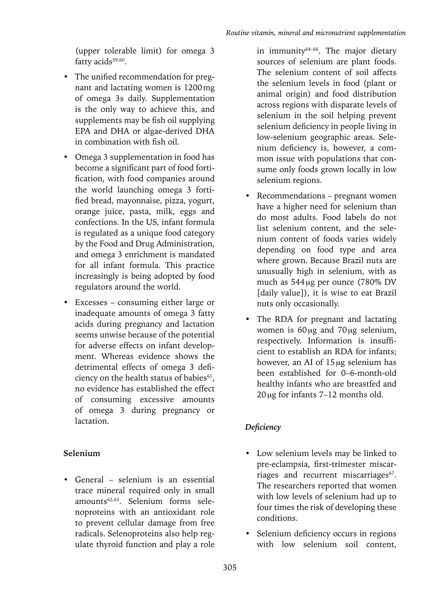(upper tolerable limit) for omega 3 fatty acids<sup>59,60</sup>.

- The unified recommendation for pregnant and lactating women is 1200mg of omega 3s daily. Supplementation is the only way to achieve this, and supplements may be fish oil supplying EPA and DHA or algae-derived DHA in combination with fish oil.
- Omega 3 supplementation in food has become a significant part of food fortification, with food companies around the world launching omega 3 fortified bread, mayonnaise, pizza, yogurt, orange juice, pasta, milk, eggs and confections. In the US, infant formula is regulated as a unique food category by the Food and Drug Administration, and omega 3 enrichment is mandated for all infant formula. This practice increasingly is being adopted by food regulators around the world.
- Excesses consuming either large or inadequate amounts of omega 3 fatty acids during pregnancy and lactation seems unwise because of the potential for adverse effects on infant development. Whereas evidence shows the detrimental effects of omega 3 deficiency on the health status of babies<sup>61</sup>, no evidence has established the effect of consuming excessive amounts of omega 3 during pregnancy or lactation.

# **Selenium**

• General – selenium is an essential trace mineral required only in small amounts<sup>62,63</sup>. Selenium forms selenoproteins with an antioxidant role to prevent cellular damage from free radicals. Selenoproteins also help regulate thyroid function and play a role

in immunity<sup>64-66</sup>. The major dietary sources of selenium are plant foods. The selenium content of soil affects the selenium levels in food (plant or animal origin) and food distribution across regions with disparate levels of selenium in the soil helping prevent selenium deficiency in people living in low-selenium geographic areas. Selenium deficiency is, however, a common issue with populations that consume only foods grown locally in low selenium regions.

- Recommendations pregnant women have a higher need for selenium than do most adults. Food labels do not list selenium content, and the selenium content of foods varies widely depending on food type and area where grown. Because Brazil nuts are unusually high in selenium, with as much as 544 µg per ounce (780% DV [daily value]), it is wise to eat Brazil nuts only occasionally.
- The RDA for pregnant and lactating women is  $60 \mu g$  and  $70 \mu g$  selenium, respectively. Information is insufficient to establish an RDA for infants; however, an AI of  $15 \mu$ g selenium has been established for 0–6-month-old healthy infants who are breastfed and  $20 \mu$ g for infants 7–12 months old.

# *Deficiency*

- Low selenium levels may be linked to pre-eclampsia, first-trimester miscarriages and recurrent miscarriages<sup>67</sup>. The researchers reported that women with low levels of selenium had up to four times the risk of developing these conditions.
- Selenium deficiency occurs in regions with low selenium soil content,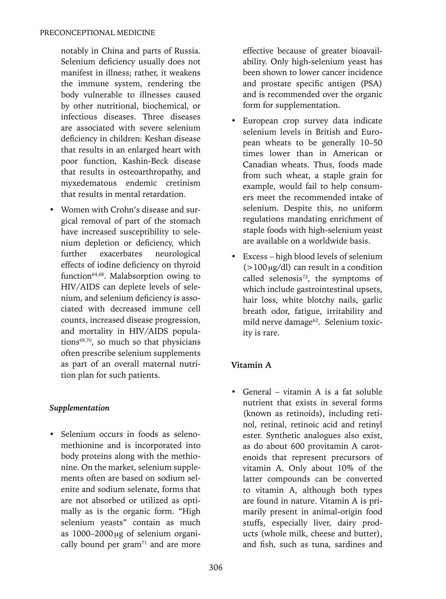notably in China and parts of Russia. Selenium deficiency usually does not manifest in illness; rather, it weakens the immune system, rendering the body vulnerable to illnesses caused by other nutritional, biochemical, or infectious diseases. Three diseases are associated with severe selenium deficiency in children: Keshan disease that results in an enlarged heart with poor function, Kashin-Beck disease that results in osteoarthropathy, and myxedematous endemic cretinism that results in mental retardation.

• Women with Crohn's disease and surgical removal of part of the stomach have increased susceptibility to selenium depletion or deficiency, which further exacerbates neurological effects of iodine deficiency on thyroid function<sup>64,68</sup>. Malabsorption owing to HIV/AIDS can deplete levels of selenium, and selenium deficiency is associated with decreased immune cell counts, increased disease progression, and mortality in HIV/AIDS populations $69,70$ , so much so that physicians often prescribe selenium supplements as part of an overall maternal nutrition plan for such patients.

### *Supplementation*

• Selenium occurs in foods as selenomethionine and is incorporated into body proteins along with the methionine. On the market, selenium supplements often are based on sodium selenite and sodium selenate, forms that are not absorbed or utilized as optimally as is the organic form. "High selenium yeasts" contain as much as  $1000-2000 \mu$ g of selenium organically bound per gram $71$  and are more

effective because of greater bioavailability. Only high-selenium yeast has been shown to lower cancer incidence and prostate specific antigen (PSA) and is recommended over the organic form for supplementation.

- European crop survey data indicate selenium levels in British and European wheats to be generally 10–50 times lower than in American or Canadian wheats. Thus, foods made from such wheat, a staple grain for example, would fail to help consumers meet the recommended intake of selenium. Despite this, no uniform regulations mandating enrichment of staple foods with high-selenium yeast are available on a worldwide basis.
- Excess high blood levels of selenium  $(>100 \,\mathrm{kg/dl})$  can result in a condition called selenosis $72$ , the symptoms of which include gastrointestinal upsets, hair loss, white blotchy nails, garlic breath odor, fatigue, irritability and mild nerve damage<sup>62</sup>. Selenium toxicity is rare.

### **Vitamin A**

• General – vitamin A is a fat soluble nutrient that exists in several forms (known as retinoids), including retinol, retinal, retinoic acid and retinyl ester. Synthetic analogues also exist, as do about 600 provitamin A carotenoids that represent precursors of vitamin A. Only about 10% of the latter compounds can be converted to vitamin A, although both types are found in nature. Vitamin A is primarily present in animal-origin food stuffs, especially liver, dairy products (whole milk, cheese and butter), and fish, such as tuna, sardines and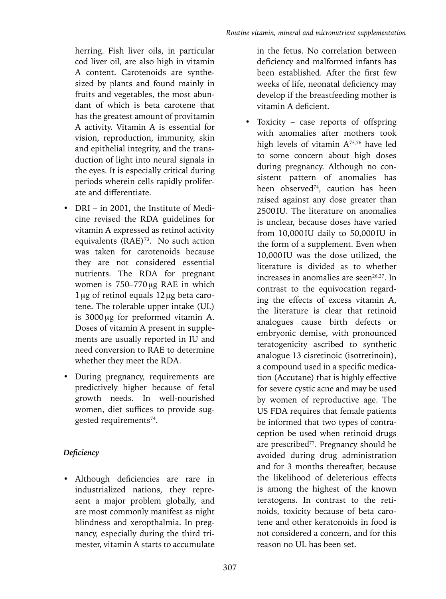herring. Fish liver oils, in particular cod liver oil, are also high in vitamin A content. Carotenoids are synthesized by plants and found mainly in fruits and vegetables, the most abundant of which is beta carotene that has the greatest amount of provitamin A activity. Vitamin A is essential for vision, reproduction, immunity, skin and epithelial integrity, and the transduction of light into neural signals in the eyes. It is especially critical during periods wherein cells rapidly proliferate and differentiate.

- DRI in 2001, the Institute of Medicine revised the RDA guidelines for vitamin A expressed as retinol activity equivalents  $(RAE)^{73}$ . No such action was taken for carotenoids because they are not considered essential nutrients. The RDA for pregnant women is  $750-770 \mu g$  RAE in which  $1 \mu$ g of retinol equals  $12 \mu$ g beta carotene. The tolerable upper intake (UL) is  $3000 \mu$ g for preformed vitamin A. Doses of vitamin A present in supplements are usually reported in IU and need conversion to RAE to determine whether they meet the RDA.
- During pregnancy, requirements are predictively higher because of fetal growth needs. In well-nourished women, diet suffices to provide suggested requirements<sup>74</sup>.

# *Deficiency*

• Although deficiencies are rare in industrialized nations, they represent a major problem globally, and are most commonly manifest as night blindness and xeropthalmia. In pregnancy, especially during the third trimester, vitamin A starts to accumulate

in the fetus. No correlation between deficiency and malformed infants has been established. After the first few weeks of life, neonatal deficiency may develop if the breastfeeding mother is vitamin A deficient.

• Toxicity – case reports of offspring with anomalies after mothers took high levels of vitamin  $A^{75,76}$  have led to some concern about high doses during pregnancy. Although no consistent pattern of anomalies has been observed<sup>74</sup>, caution has been raised against any dose greater than 2500IU. The literature on anomalies is unclear, because doses have varied from 10,000IU daily to 50,000IU in the form of a supplement. Even when 10,000IU was the dose utilized, the literature is divided as to whether increases in anomalies are seen $26,27$ . In contrast to the equivocation regarding the effects of excess vitamin A, the literature is clear that retinoid analogues cause birth defects or embryonic demise, with pronounced teratogenicity ascribed to synthetic analogue 13 cisretinoic (isotretinoin), a compound used in a specific medication (Accutane) that is highly effective for severe cystic acne and may be used by women of reproductive age. The US FDA requires that female patients be informed that two types of contraception be used when retinoid drugs are prescribed<sup>77</sup>. Pregnancy should be avoided during drug administration and for 3 months thereafter, because the likelihood of deleterious effects is among the highest of the known teratogens. In contrast to the retinoids, toxicity because of beta carotene and other keratonoids in food is not considered a concern, and for this reason no UL has been set.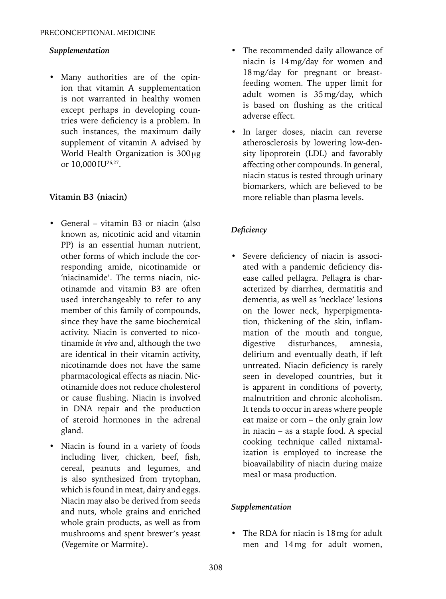### *Supplementation*

• Many authorities are of the opinion that vitamin A supplementation is not warranted in healthy women except perhaps in developing countries were deficiency is a problem. In such instances, the maximum daily supplement of vitamin A advised by World Health Organization is  $300 \mu g$ or 10,000 IU<sup>26,27</sup>.

## **Vitamin B3 (niacin)**

- General vitamin B3 or niacin (also known as, nicotinic acid and vitamin PP) is an essential human nutrient, other forms of which include the corresponding amide, nicotinamide or 'niacinamide'. The terms niacin, nicotinamde and vitamin B3 are often used interchangeably to refer to any member of this family of compounds, since they have the same biochemical activity. Niacin is converted to nicotinamide *in vivo* and, although the two are identical in their vitamin activity, nicotinamde does not have the same pharmacological effects as niacin. Nicotinamide does not reduce cholesterol or cause flushing. Niacin is involved in DNA repair and the production of steroid hormones in the adrenal gland.
- Niacin is found in a variety of foods including liver, chicken, beef, fish, cereal, peanuts and legumes, and is also synthesized from trytophan, which is found in meat, dairy and eggs. Niacin may also be derived from seeds and nuts, whole grains and enriched whole grain products, as well as from mushrooms and spent brewer's yeast (Vegemite or Marmite).
- The recommended daily allowance of niacin is 14mg/day for women and 18mg/day for pregnant or breastfeeding women. The upper limit for adult women is 35mg/day, which is based on flushing as the critical adverse effect.
- In larger doses, niacin can reverse atherosclerosis by lowering low-density lipoprotein (LDL) and favorably affecting other compounds. In general, niacin status is tested through urinary biomarkers, which are believed to be more reliable than plasma levels.

# *Deficiency*

• Severe deficiency of niacin is associated with a pandemic deficiency disease called pellagra. Pellagra is characterized by diarrhea, dermatitis and dementia, as well as 'necklace' lesions on the lower neck, hyperpigmentation, thickening of the skin, inflammation of the mouth and tongue, digestive disturbances, amnesia, delirium and eventually death, if left untreated. Niacin deficiency is rarely seen in developed countries, but it is apparent in conditions of poverty, malnutrition and chronic alcoholism. It tends to occur in areas where people eat maize or corn – the only grain low in niacin – as a staple food. A special cooking technique called nixtamalization is employed to increase the bioavailability of niacin during maize meal or masa production.

### *Supplementation*

• The RDA for niacin is 18 mg for adult men and 14mg for adult women,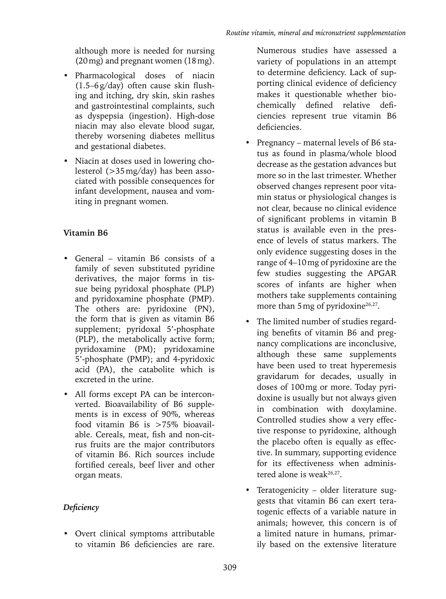although more is needed for nursing (20mg) and pregnant women (18mg).

- Pharmacological doses of niacin (1.5–6g/day) often cause skin flushing and itching, dry skin, skin rashes and gastrointestinal complaints, such as dyspepsia (ingestion). High-dose niacin may also elevate blood sugar, thereby worsening diabetes mellitus and gestational diabetes.
- Niacin at doses used in lowering cholesterol (>35mg/day) has been associated with possible consequences for infant development, nausea and vomiting in pregnant women.

# **Vitamin B6**

- General vitamin B6 consists of a family of seven substituted pyridine derivatives, the major forms in tissue being pyridoxal phosphate (PLP) and pyridoxamine phosphate (PMP). The others are: pyridoxine (PN), the form that is given as vitamin B6 supplement; pyridoxal 5'-phosphate (PLP), the metabolically active form; pyridoxamine (PM); pyridoxamine 5'-phosphate (PMP); and 4-pyridoxic acid (PA), the catabolite which is excreted in the urine.
- All forms except PA can be interconverted. Bioavailability of B6 supplements is in excess of 90%, whereas food vitamin B6 is >75% bioavailable. Cereals, meat, fish and non-citrus fruits are the major contributors of vitamin B6. Rich sources include fortified cereals, beef liver and other organ meats.

# *Deficiency*

• Overt clinical symptoms attributable to vitamin B6 deficiencies are rare.

Numerous studies have assessed a variety of populations in an attempt to determine deficiency. Lack of supporting clinical evidence of deficiency makes it questionable whether biochemically defined relative deficiencies represent true vitamin B6 deficiencies.

- Pregnancy maternal levels of B6 status as found in plasma/whole blood decrease as the gestation advances but more so in the last trimester. Whether observed changes represent poor vitamin status or physiological changes is not clear, because no clinical evidence of significant problems in vitamin B status is available even in the presence of levels of status markers. The only evidence suggesting doses in the range of 4–10mg of pyridoxine are the few studies suggesting the APGAR scores of infants are higher when mothers take supplements containing more than  $5 \text{ mg}$  of pyridoxine<sup>26,27</sup>.
- The limited number of studies regarding benefits of vitamin B6 and pregnancy complications are inconclusive, although these same supplements have been used to treat hyperemesis gravidarum for decades, usually in doses of 100mg or more. Today pyridoxine is usually but not always given in combination with doxylamine. Controlled studies show a very effective response to pyridoxine, although the placebo often is equally as effective. In summary, supporting evidence for its effectiveness when administered alone is weak<sup>26,27</sup>.
- Teratogenicity older literature suggests that vitamin B6 can exert teratogenic effects of a variable nature in animals; however, this concern is of a limited nature in humans, primarily based on the extensive literature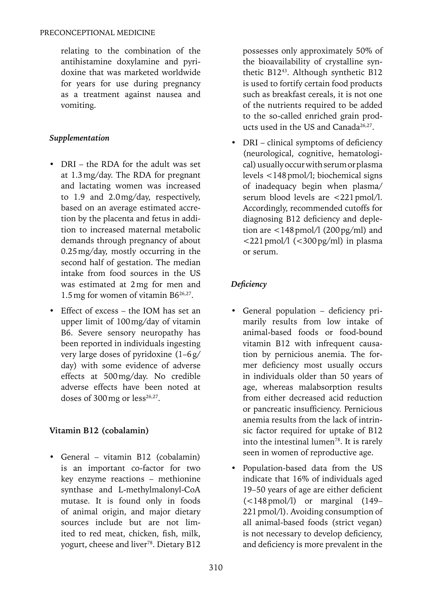relating to the combination of the antihistamine doxylamine and pyridoxine that was marketed worldwide for years for use during pregnancy as a treatment against nausea and vomiting.

# *Supplementation*

- DRI the RDA for the adult was set at 1.3mg/day. The RDA for pregnant and lactating women was increased to 1.9 and 2.0mg/day, respectively, based on an average estimated accretion by the placenta and fetus in addition to increased maternal metabolic demands through pregnancy of about 0.25mg/day, mostly occurring in the second half of gestation. The median intake from food sources in the US was estimated at 2mg for men and 1.5mg for women of vitamin B626,27.
- Effect of excess the IOM has set an upper limit of 100mg/day of vitamin B6. Severe sensory neuropathy has been reported in individuals ingesting very large doses of pyridoxine (1–6g/ day) with some evidence of adverse effects at 500mg/day. No credible adverse effects have been noted at doses of  $300$  mg or  $less^{26,27}$ .

# **Vitamin B12 (cobalamin)**

• General – vitamin B12 (cobalamin) is an important co-factor for two key enzyme reactions – methionine synthase and L-methylmalonyl-CoA mutase. It is found only in foods of animal origin, and major dietary sources include but are not limited to red meat, chicken, fish, milk, yogurt, cheese and liver<sup>78</sup>. Dietary B12 possesses only approximately 50% of the bioavailability of crystalline synthetic B1243. Although synthetic B12 is used to fortify certain food products such as breakfast cereals, it is not one of the nutrients required to be added to the so-called enriched grain products used in the US and Canada<sup>26,27</sup>.

• DRI – clinical symptoms of deficiency (neurological, cognitive, hematological) usually occur with serum or plasma levels <148pmol/l; biochemical signs of inadequacy begin when plasma/ serum blood levels are <221 pmol/l. Accordingly, recommended cutoffs for diagnosing B12 deficiency and depletion are  $\langle 148 \text{ pmol}/1 (200 \text{ pg/ml})$  and  $\langle 221$  pmol/l  $\langle \langle 300 \text{ pg/ml} \rangle$  in plasma or serum.

# *Deficiency*

- General population deficiency primarily results from low intake of animal-based foods or food-bound vitamin B12 with infrequent causation by pernicious anemia. The former deficiency most usually occurs in individuals older than 50 years of age, whereas malabsorption results from either decreased acid reduction or pancreatic insufficiency. Pernicious anemia results from the lack of intrinsic factor required for uptake of B12 into the intestinal lumen<sup>78</sup>. It is rarely seen in women of reproductive age.
- Population-based data from the US indicate that 16% of individuals aged 19–50 years of age are either deficient  $(<148 \text{ pmol/l})$  or marginal  $(149-$ 221pmol/l). Avoiding consumption of all animal-based foods (strict vegan) is not necessary to develop deficiency, and deficiency is more prevalent in the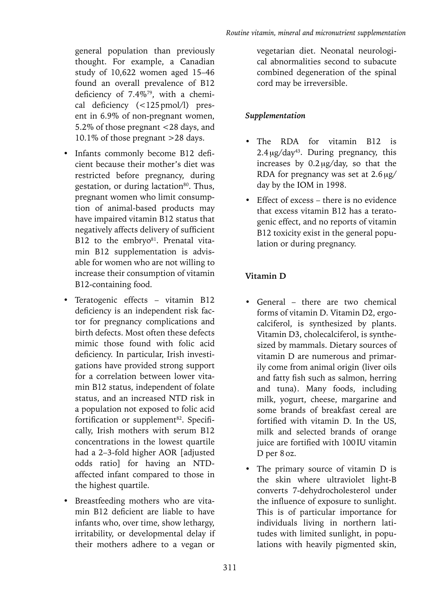general population than previously thought. For example, a Canadian study of 10,622 women aged 15–46 found an overall prevalence of B12 deficiency of 7.4%79, with a chemical deficiency (<125pmol/l) present in 6.9% of non-pregnant women, 5.2% of those pregnant <28 days, and 10.1% of those pregnant >28 days.

- Infants commonly become B12 deficient because their mother's diet was restricted before pregnancy, during gestation, or during lactation<sup>80</sup>. Thus, pregnant women who limit consumption of animal-based products may have impaired vitamin B12 status that negatively affects delivery of sufficient B12 to the embryo<sup>81</sup>. Prenatal vitamin B12 supplementation is advisable for women who are not willing to increase their consumption of vitamin B12-containing food.
- Teratogenic effects vitamin B12 deficiency is an independent risk factor for pregnancy complications and birth defects. Most often these defects mimic those found with folic acid deficiency. In particular, Irish investigations have provided strong support for a correlation between lower vitamin B12 status, independent of folate status, and an increased NTD risk in a population not exposed to folic acid fortification or supplement<sup>82</sup>. Specifically, Irish mothers with serum B12 concentrations in the lowest quartile had a 2–3-fold higher AOR [adjusted odds ratio] for having an NTDaffected infant compared to those in the highest quartile.
- Breastfeeding mothers who are vitamin B12 deficient are liable to have infants who, over time, show lethargy, irritability, or developmental delay if their mothers adhere to a vegan or

vegetarian diet. Neonatal neurological abnormalities second to subacute combined degeneration of the spinal cord may be irreversible.

# *Supplementation*

- The RDA for vitamin B12 is  $2.4 \mu$ g/day<sup>43</sup>. During pregnancy, this increases by  $0.2 \mu g/day$ , so that the RDA for pregnancy was set at  $2.6 \mu g$ / day by the IOM in 1998.
- Effect of excess there is no evidence that excess vitamin B12 has a teratogenic effect, and no reports of vitamin B12 toxicity exist in the general population or during pregnancy.

# **Vitamin D**

- General there are two chemical forms of vitamin D. Vitamin D2, ergocalciferol, is synthesized by plants. Vitamin D3, cholecalciferol, is synthesized by mammals. Dietary sources of vitamin D are numerous and primarily come from animal origin (liver oils and fatty fish such as salmon, herring and tuna). Many foods, including milk, yogurt, cheese, margarine and some brands of breakfast cereal are fortified with vitamin D. In the US, milk and selected brands of orange juice are fortified with 100IU vitamin D per 8 oz.
- The primary source of vitamin D is the skin where ultraviolet light-B converts 7-dehydrocholesterol under the influence of exposure to sunlight. This is of particular importance for individuals living in northern latitudes with limited sunlight, in populations with heavily pigmented skin,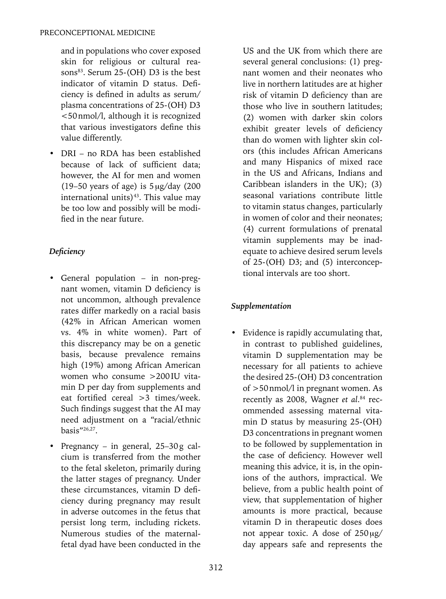and in populations who cover exposed skin for religious or cultural reasons<sup>83</sup>. Serum 25-(OH) D3 is the best indicator of vitamin D status. Deficiency is defined in adults as serum/ plasma concentrations of 25-(OH) D3 <50nmol/l, although it is recognized that various investigators define this value differently.

• DRI – no RDA has been established because of lack of sufficient data; however, the AI for men and women (19–50 years of age) is  $5 \mu g/day$  (200 international units) $43$ . This value may be too low and possibly will be modified in the near future.

# *Deficiency*

- General population in non-pregnant women, vitamin D deficiency is not uncommon, although prevalence rates differ markedly on a racial basis (42% in African American women vs. 4% in white women). Part of this discrepancy may be on a genetic basis, because prevalence remains high (19%) among African American women who consume >200IU vitamin D per day from supplements and eat fortified cereal >3 times/week. Such findings suggest that the AI may need adjustment on a "racial/ethnic basis"26,27.
- Pregnancy in general, 25–30g calcium is transferred from the mother to the fetal skeleton, primarily during the latter stages of pregnancy. Under these circumstances, vitamin D deficiency during pregnancy may result in adverse outcomes in the fetus that persist long term, including rickets. Numerous studies of the maternalfetal dyad have been conducted in the

US and the UK from which there are several general conclusions: (1) pregnant women and their neonates who live in northern latitudes are at higher risk of vitamin D deficiency than are those who live in southern latitudes; (2) women with darker skin colors exhibit greater levels of deficiency than do women with lighter skin colors (this includes African Americans and many Hispanics of mixed race in the US and Africans, Indians and Caribbean islanders in the UK); (3) seasonal variations contribute little to vitamin status changes, particularly in women of color and their neonates; (4) current formulations of prenatal vitamin supplements may be inadequate to achieve desired serum levels of 25-(OH) D3; and (5) interconceptional intervals are too short.

# *Supplementation*

• Evidence is rapidly accumulating that, in contrast to published guidelines, vitamin D supplementation may be necessary for all patients to achieve the desired 25-(OH) D3 concentration of >50nmol/l in pregnant women. As recently as 2008, Wagner *et al*. 84 recommended assessing maternal vitamin D status by measuring 25-(OH) D3 concentrations in pregnant women to be followed by supplementation in the case of deficiency. However well meaning this advice, it is, in the opinions of the authors, impractical. We believe, from a public health point of view, that supplementation of higher amounts is more practical, because vitamin D in therapeutic doses does not appear toxic. A dose of  $250 \mu g$ / day appears safe and represents the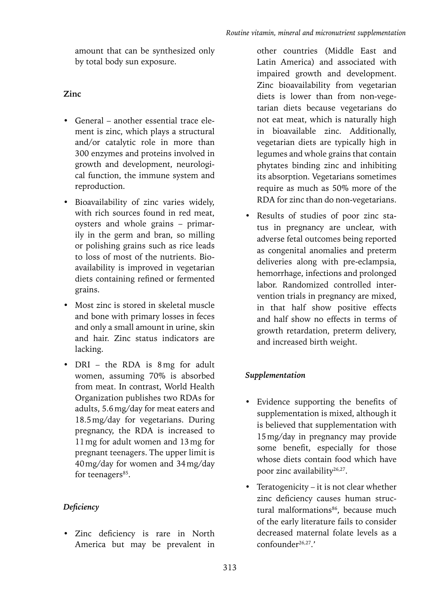amount that can be synthesized only by total body sun exposure.

### **Zinc**

- General another essential trace element is zinc, which plays a structural and/or catalytic role in more than 300 enzymes and proteins involved in growth and development, neurological function, the immune system and reproduction.
- Bioavailability of zinc varies widely, with rich sources found in red meat, oysters and whole grains – primarily in the germ and bran, so milling or polishing grains such as rice leads to loss of most of the nutrients. Bioavailability is improved in vegetarian diets containing refined or fermented grains.
- Most zinc is stored in skeletal muscle and bone with primary losses in feces and only a small amount in urine, skin and hair. Zinc status indicators are lacking.
- DRI the RDA is 8mg for adult women, assuming 70% is absorbed from meat. In contrast, World Health Organization publishes two RDAs for adults, 5.6mg/day for meat eaters and 18.5mg/day for vegetarians. During pregnancy, the RDA is increased to 11mg for adult women and 13mg for pregnant teenagers. The upper limit is 40mg/day for women and 34mg/day for teenagers<sup>85</sup>.

### *Deficiency*

• Zinc deficiency is rare in North America but may be prevalent in other countries (Middle East and Latin America) and associated with impaired growth and development. Zinc bioavailability from vegetarian diets is lower than from non-vegetarian diets because vegetarians do not eat meat, which is naturally high in bioavailable zinc. Additionally, vegetarian diets are typically high in legumes and whole grains that contain phytates binding zinc and inhibiting its absorption. Vegetarians sometimes require as much as 50% more of the RDA for zinc than do non-vegetarians.

• Results of studies of poor zinc status in pregnancy are unclear, with adverse fetal outcomes being reported as congenital anomalies and preterm deliveries along with pre-eclampsia, hemorrhage, infections and prolonged labor. Randomized controlled intervention trials in pregnancy are mixed, in that half show positive effects and half show no effects in terms of growth retardation, preterm delivery, and increased birth weight.

# *Supplementation*

- Evidence supporting the benefits of supplementation is mixed, although it is believed that supplementation with 15mg/day in pregnancy may provide some benefit, especially for those whose diets contain food which have poor zinc availability<sup>26,27</sup>.
- Teratogenicity it is not clear whether zinc deficiency causes human structural malformations<sup>86</sup>, because much of the early literature fails to consider decreased maternal folate levels as a confounder26,27.'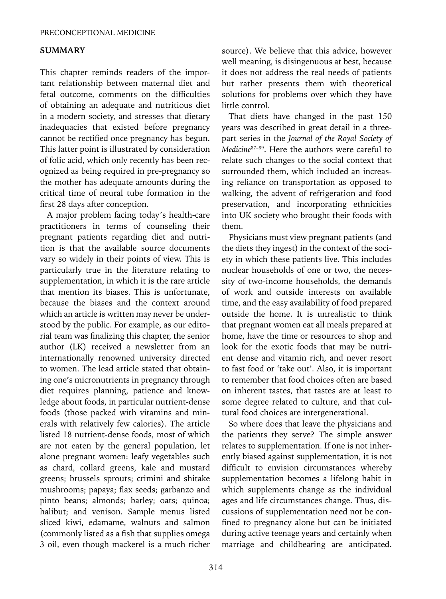#### **SUMMARY**

This chapter reminds readers of the important relationship between maternal diet and fetal outcome, comments on the difficulties of obtaining an adequate and nutritious diet in a modern society, and stresses that dietary inadequacies that existed before pregnancy cannot be rectified once pregnancy has begun. This latter point is illustrated by consideration of folic acid, which only recently has been recognized as being required in pre-pregnancy so the mother has adequate amounts during the critical time of neural tube formation in the first 28 days after conception.

A major problem facing today's health-care practitioners in terms of counseling their pregnant patients regarding diet and nutrition is that the available source documents vary so widely in their points of view. This is particularly true in the literature relating to supplementation, in which it is the rare article that mention its biases. This is unfortunate, because the biases and the context around which an article is written may never be understood by the public. For example, as our editorial team was finalizing this chapter, the senior author (LK) received a newsletter from an internationally renowned university directed to women. The lead article stated that obtaining one's micronutrients in pregnancy through diet requires planning, patience and knowledge about foods, in particular nutrient-dense foods (those packed with vitamins and minerals with relatively few calories). The article listed 18 nutrient-dense foods, most of which are not eaten by the general population, let alone pregnant women: leafy vegetables such as chard, collard greens, kale and mustard greens; brussels sprouts; crimini and shitake mushrooms; papaya; flax seeds; garbanzo and pinto beans; almonds; barley; oats; quinoa; halibut; and venison. Sample menus listed sliced kiwi, edamame, walnuts and salmon (commonly listed as a fish that supplies omega 3 oil, even though mackerel is a much richer source). We believe that this advice, however well meaning, is disingenuous at best, because it does not address the real needs of patients but rather presents them with theoretical solutions for problems over which they have little control.

That diets have changed in the past 150 years was described in great detail in a threepart series in the *Journal of the Royal Society of Medicine*87–89. Here the authors were careful to relate such changes to the social context that surrounded them, which included an increasing reliance on transportation as opposed to walking, the advent of refrigeration and food preservation, and incorporating ethnicities into UK society who brought their foods with them.

Physicians must view pregnant patients (and the diets they ingest) in the context of the society in which these patients live. This includes nuclear households of one or two, the necessity of two-income households, the demands of work and outside interests on available time, and the easy availability of food prepared outside the home. It is unrealistic to think that pregnant women eat all meals prepared at home, have the time or resources to shop and look for the exotic foods that may be nutrient dense and vitamin rich, and never resort to fast food or 'take out'. Also, it is important to remember that food choices often are based on inherent tastes, that tastes are at least to some degree related to culture, and that cultural food choices are intergenerational.

So where does that leave the physicians and the patients they serve? The simple answer relates to supplementation. If one is not inherently biased against supplementation, it is not difficult to envision circumstances whereby supplementation becomes a lifelong habit in which supplements change as the individual ages and life circumstances change. Thus, discussions of supplementation need not be confined to pregnancy alone but can be initiated during active teenage years and certainly when marriage and childbearing are anticipated.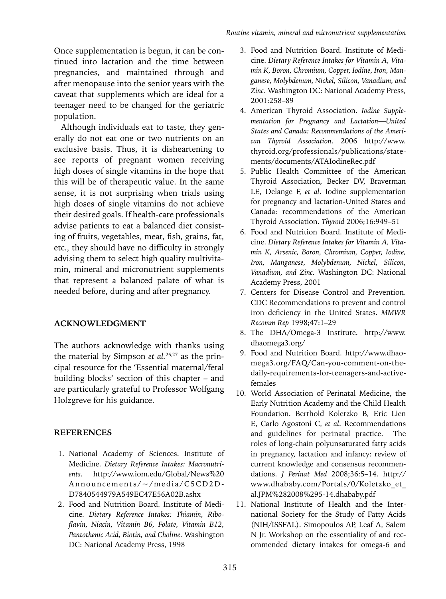Once supplementation is begun, it can be continued into lactation and the time between pregnancies, and maintained through and after menopause into the senior years with the caveat that supplements which are ideal for a teenager need to be changed for the geriatric population.

Although individuals eat to taste, they generally do not eat one or two nutrients on an exclusive basis. Thus, it is disheartening to see reports of pregnant women receiving high doses of single vitamins in the hope that this will be of therapeutic value. In the same sense, it is not surprising when trials using high doses of single vitamins do not achieve their desired goals. If health-care professionals advise patients to eat a balanced diet consisting of fruits, vegetables, meat, fish, grains, fat, etc., they should have no difficulty in strongly advising them to select high quality multivitamin, mineral and micronutrient supplements that represent a balanced palate of what is needed before, during and after pregnancy.

#### **Acknowledgment**

The authors acknowledge with thanks using the material by Simpson *et al.*26,27 as the principal resource for the 'Essential maternal/fetal building blocks' section of this chapter – and are particularly grateful to Professor Wolfgang Holzgreve for his guidance.

#### **References**

- 1. National Academy of Sciences. Institute of Medicine. *Dietary Reference Intakes: Macronutrients*. http://www.iom.edu/Global/News%20 Announcements/ $\sim$ /media/C5CD2D-D7840544979A549EC47E56A02B.ashx
- 2. Food and Nutrition Board. Institute of Medicine*. Dietary Reference Intakes: Thiamin, Riboflavin, Niacin, Vitamin B6, Folate, Vitamin B12, Pantothenic Acid, Biotin, and Choline*. Washington DC: National Academy Press, 1998
- 3. Food and Nutrition Board. Institute of Medicine. *Dietary Reference Intakes for Vitamin A, Vitamin K, Boron, Chromium, Copper, Iodine, Iron, Manganese, Molybdenum, Nickel, Silicon, Vanadium, and Zinc*. Washington DC: National Academy Press, 2001:258–89
- 4. American Thyroid Association. *Iodine Supplementation for Pregnancy and Lactation—United States and Canada: Recommendations of the American Thyroid Association*. 2006 http://www. thyroid.org/professionals/publications/statements/documents/ATAIodineRec.pdf
- 5. Public Health Committee of the American Thyroid Association, Becker DV, Braverman LE, Delange F, *et al*. Iodine supplementation for pregnancy and lactation-United States and Canada: recommendations of the American Thyroid Association. *Thyroid* 2006;16:949–51
- 6. Food and Nutrition Board. Institute of Medicine. *Dietary Reference Intakes for Vitamin A, Vitamin K, Arsenic, Boron, Chromium, Copper, Iodine, Iron, Manganese, Molybdenum, Nickel, Silicon, Vanadium, and Zinc.* Washington DC: National Academy Press, 2001
- 7. Centers for Disease Control and Prevention. CDC Recommendations to prevent and control iron deficiency in the United States. *MMWR Recomm Rep* 1998;47:1–29
- 8. The DHA/Omega-3 Institute. http://www. dhaomega3.org/
- 9. Food and Nutrition Board. http://www.dhaomega3.org/FAQ/Can-you-comment-on-thedaily-requirements-for-teenagers-and-activefemales
- 10. World Association of Perinatal Medicine, the Early Nutrition Academy and the Child Health Foundation. Berthold Koletzko B, Eric Lien E, Carlo Agostoni C, *et al*. Recommendations and guidelines for perinatal practice. The roles of long-chain polyunsaturated fatty acids in pregnancy, lactation and infancy: review of current knowledge and consensus recommendations. *J Perinat Med* 2008;36:5–14. http:// www.dhababy.com/Portals/0/Koletzko\_et\_ al.JPM%282008%295-14.dhababy.pdf
- 11. National Institute of Health and the International Society for the Study of Fatty Acids (NIH/ISSFAL). Simopoulos AP, Leaf A, Salem N Jr. Workshop on the essentiality of and recommended dietary intakes for omega-6 and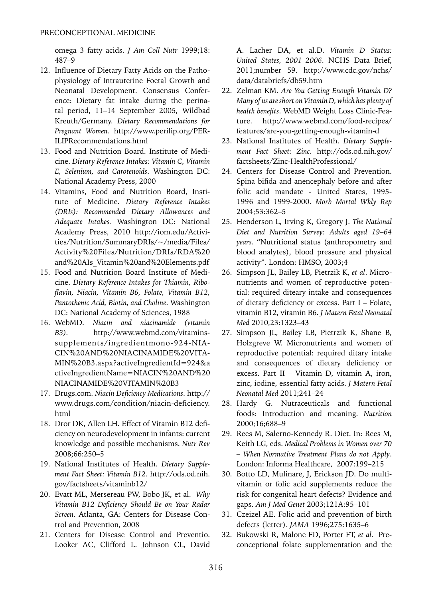omega 3 fatty acids. *J Am Coll Nutr* 1999;18: 487–9

- 12. Influence of Dietary Fatty Acids on the Pathophysiology of Intrauterine Foetal Growth and Neonatal Development. Consensus Conference: Dietary fat intake during the perinatal period, 11–14 September 2005, Wildbad Kreuth/Germany. *Dietary Recommendations for Pregnant Women*. http://www.perilip.org/PER-ILIPRecommendations.html
- 13. Food and Nutrition Board. Institute of Medicine. *Dietary Reference Intakes: Vitamin C, Vitamin E, Selenium, and Carotenoids*. Washington DC: National Academy Press, 2000
- 14. Vitamins, Food and Nutrition Board, Institute of Medicine. *Dietary Reference Intakes (DRIs): Recommended Dietary Allowances and Adequate Intakes.* Washington DC: National Academy Press, 2010 http://iom.edu/Activities/Nutrition/SummaryDRIs/~/media/Files/ Activity%20Files/Nutrition/DRIs/RDA%20 and%20AIs\_Vitamin%20and%20Elements.pdf
- 15. Food and Nutrition Board Institute of Medicine. *Dietary Reference Intakes for Thiamin, Riboflavin, Niacin, Vitamin B6, Folate, Vitamin B12, Pantothenic Acid, Biotin, and Choline*. Washington DC: National Academy of Sciences, 1988
- 16. WebMD. *Niacin and niacinamide (vitamin B3).* http://www.webmd.com/vitaminssupplements/ingredientmono-924-NIA-CIN%20AND%20NIACINAMIDE%20VITA-MIN%20B3.aspx?activeIngredientId=924&a ctiveIngredientName=NIACIN%20AND%20 NIACINAMIDE%20VITAMIN%20B3
- 17. Drugs.com. *Niacin Deficiency Medications*. http:// www.drugs.com/condition/niacin-deficiency. html
- 18. Dror DK, Allen LH. Effect of Vitamin B12 deficiency on neurodevelopment in infants: current knowledge and possible mechanisms. *Nutr Rev* 2008;66:250–5
- 19. National Institutes of Health. *Dietary Supplement Fact Sheet: Vitamin B12.* http://ods.od.nih. gov/factsheets/vitaminb12/
- 20. Evatt ML, Mersereau PW, Bobo JK, et al. *Why Vitamin B12 Deficiency Should Be on Your Radar Screen*. Atlanta, GA: Centers for Disease Control and Prevention, 2008
- 21. Centers for Disease Control and Preventio. Looker AC, Clifford L. Johnson CL, David

A. Lacher DA, et al.D. *Vitamin D Status: United States, 2001–2006*. NCHS Data Brief, 2011;number 59. http://www.cdc.gov/nchs/ data/databriefs/db59.htm

- 22. Zelman KM. *Are You Getting Enough Vitamin D? Many of us are short on Vitamin D, which has plenty of health benefits*. WebMD Weight Loss Clinic-Feature. http://www.webmd.com/food-recipes/ features/are-you-getting-enough-vitamin-d
- 23. National Institutes of Health. *Dietary Supplement Fact Sheet: Zinc*. http://ods.od.nih.gov/ factsheets/Zinc-HealthProfessional/
- 24. Centers for Disease Control and Prevention. Spina bifida and anencephaly before and after folic acid mandate - United States, 1995- 1996 and 1999-2000. *Morb Mortal Wkly Rep* 2004;53:362–5
- 25. Henderson L, Irving K, Gregory J. *The National Diet and Nutrition Survey: Adults aged 19–64 years*. "Nutritional status (anthropometry and blood analytes), blood pressure and physical activity". London: HMSO, 2003;4
- 26. Simpson JL, Bailey LB, Pietrzik K, *et al*. Micronutrients and women of reproductive potential: required diteary intake and consequences of dietary deficiency or excess. Part I – Folate, vitamin B12, vitamin B6. *J Matern Fetal Neonatal Med* 2010,23:1323–43
- 27. Simpson JL, Bailey LB, Pietrzik K, Shane B, Holzgreve W. Micronutrients and women of reproductive potential: required ditary intake and consequences of dietary deficiency or excess. Part II – Vitamin D, vitamin A, iron, zinc, iodine, essential fatty acids. *J Matern Fetal Neonatal Med* 2011;241–24
- 28. Hardy G. Nutraceuticals and functional foods: Introduction and meaning. *Nutrition* 2000;16;688–9
- 29. Rees M, Salerno-Kennedy R. Diet. In: Rees M, Keith LG, eds. *Medical Problems in Women over 70 – When Normative Treatment Plans do not Apply*. London: Informa Healthcare, 2007:199–215
- 30. Botto LD, Mulinare, J, Erickson JD. Do multivitamin or folic acid supplements reduce the risk for congenital heart defects? Evidence and gaps. *Am J Med Genet* 2003;121A:95–101
- 31. Czeizel AE. Folic acid and prevention of birth defects (letter). *JAMA* 1996;275:1635–6
- 32. Bukowski R, Malone FD, Porter FT, *et al.* Preconceptional folate supplementation and the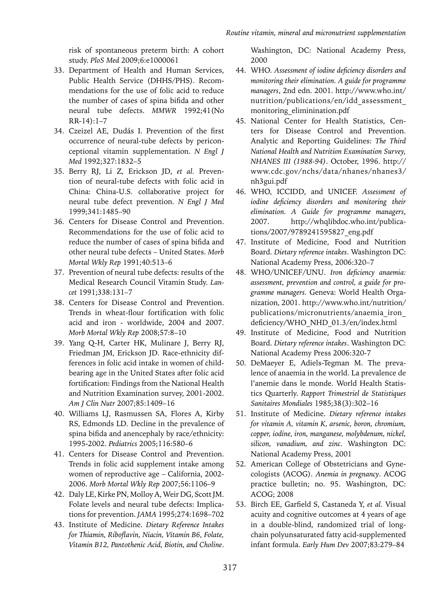risk of spontaneous preterm birth: A cohort study. *PloS Med* 2009;6:e1000061

- 33. Department of Health and Human Services, Public Health Service (DHHS/PHS). Recommendations for the use of folic acid to reduce the number of cases of spina bifida and other neural tube defects. *MMWR* 1992;41(No RR-14):1–7
- 34. Czeizel AE, Dudás I. Prevention of the first occurrence of neural-tube defects by periconceptional vitamin supplementation. *N Engl J Med* 1992;327:1832–5
- 35. Berry RJ, Li Z, Erickson JD, *et al.* Prevention of neural-tube defects with folic acid in China: China-U.S. collaborative project for neural tube defect prevention. *N Engl J Med*  1999;341:1485–90
- 36. Centers for Disease Control and Prevention. Recommendations for the use of folic acid to reduce the number of cases of spina bifida and other neural tube defects – United States. *Morb Mortal Wkly Rep* 1991;40:513–6
- 37. Prevention of neural tube defects: results of the Medical Research Council Vitamin Study. *Lancet* 1991;338:131–7
- 38. Centers for Disease Control and Prevention. Trends in wheat-flour fortification with folic acid and iron - worldwide, 2004 and 2007. *Morb Mortal Wkly Rep* 2008;57:8–10
- 39. Yang Q-H, Carter HK, Mulinare J, Berry RJ, Friedman JM, Erickson JD. Race-ethnicity differences in folic acid intake in women of childbearing age in the United States after folic acid fortification: Findings from the National Health and Nutrition Examination survey, 2001-2002. *Am J Clin Nutr* 2007;85:1409–16
- 40. Williams LJ, Rasmussen SA, Flores A, Kirby RS, Edmonds LD. Decline in the prevalence of spina bifida and anencephaly by race/ethnicity: 1995-2002. *Pediatrics* 2005;116:580–6
- 41. Centers for Disease Control and Prevention. Trends in folic acid supplement intake among women of reproductive age – California, 2002- 2006. *Morb Mortal Wkly Rep* 2007;56:1106–9
- 42. Daly LE, Kirke PN, Molloy A, Weir DG, Scott JM. Folate levels and neural tube defects: Implications for prevention. *JAMA* 1995;274:1698–702
- 43. Institute of Medicine. *Dietary Reference Intakes for Thiamin, Riboflavin, Niacin, Vitamin B6, Folate, Vitamin B12, Pantothenic Acid, Biotin, and Choline*.

Washington, DC: National Academy Press, 2000

- 44. WHO. *Assessment of iodine deficiency disorders and monitoring their elimination. A guide for programme managers*, 2nd edn. 2001. http://www.who.int/ nutrition/publications/en/idd\_assessment\_ monitoring\_eliminination.pdf
- 45. National Center for Health Statistics, Centers for Disease Control and Prevention. Analytic and Reporting Guidelines: *The Third National Health and Nutrition Examination Survey, NHANES III (1988-94)*. October, 1996. http:// www.cdc.gov/nchs/data/nhanes/nhanes3/ nh3gui.pdf
- 46. WHO, ICCIDD, and UNICEF. *Assessment of iodine deficiency disorders and monitoring their elimination. A Guide for programme managers*, 2007. http://whqlibdoc.who.int/publications/2007/9789241595827\_eng.pdf
- 47. Institute of Medicine, Food and Nutrition Board. *Dietary reference intakes*. Washington DC: National Academy Press, 2006:320–7
- 48. WHO/UNICEF/UNU. *Iron deficiency anaemia: assessment, prevention and control, a guide for programme managers.* Geneva: World Health Organization, 2001. http://www.who.int/nutrition/ publications/micronutrients/anaemia\_iron\_ deficiency/WHO\_NHD\_01.3/en/index.html
- 49. Institute of Medicine, Food and Nutrition Board. *Dietary reference intakes*. Washington DC: National Academy Press 2006:320-7
- 50. DeMaeyer E, Adiels-Tegman M. The prevalence of anaemia in the world. La prevalence de l'anemie dans le monde. World Health Statistics Quarterly. *Rapport Trimestriel de Statistiques Sanitaires Mondiales* 1985;38(3):302–16
- 51. Institute of Medicine. *Dietary reference intakes for vitamin A, vitamin K, arsenic, boron, chromium, copper, iodine, iron, manganese, molybdenum, nickel, silicon, vanadium, and zinc*. Washington DC: National Academy Press, 2001
- 52. American College of Obstetricians and Gynecologists (ACOG). *Anemia in pregnancy*. ACOG practice bulletin; no. 95. Washington, DC: ACOG; 2008
- 53. Birch EE, Garfield S, Castaneda Y, *et al.* Visual acuity and cognitive outcomes at 4 years of age in a double-blind, randomized trial of longchain polyunsaturated fatty acid-supplemented infant formula. *Early Hum Dev* 2007;83:279–84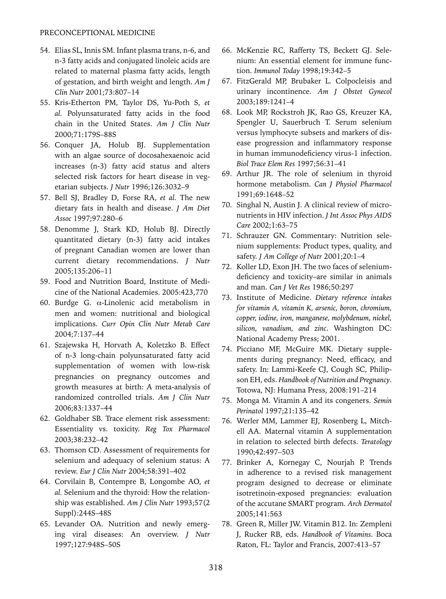#### PRECONCEPTIONAL MEDICINE

- 54. Elias SL, Innis SM. Infant plasma trans, n-6, and n-3 fatty acids and conjugated linoleic acids are related to maternal plasma fatty acids, length of gestation, and birth weight and length. *Am J Clin Nutr* 2001;73:807–14
- 55. Kris-Etherton PM, Taylor DS, Yu-Poth S, *et al.* Polyunsaturated fatty acids in the food chain in the United States. *Am J Clin Nutr*  2000;71:179S–88S
- 56. Conquer JA, Holub BJ. Supplementation with an algae source of docosahexaenoic acid increases (n-3) fatty acid status and alters selected risk factors for heart disease in vegetarian subjects. *J Nutr* 1996;126:3032–9
- 57. Bell SJ, Bradley D, Forse RA, *et al.* The new dietary fats in health and disease. *J Am Diet Assoc* 1997;97:280–6
- 58. Denomme J, Stark KD, Holub BJ. Directly quantitated dietary (n-3) fatty acid intakes of pregnant Canadian women are lower than current dietary recommendations. *J Nutr*  2005;135:206–11
- 59. Food and Nutrition Board, Institute of Medicine of the National Academies. 2005:423,770
- 60. Burdge G. α-Linolenic acid metabolism in men and women: nutritional and biological implications. *Curr Opin Clin Nutr Metab Care* 2004;7:137–44
- 61. Szajewska H, Horvath A, Koletzko B. Effect of n-3 long-chain polyunsaturated fatty acid supplementation of women with low-risk pregnancies on pregnancy outcomes and growth measures at birth: A meta-analysis of randomized controlled trials. *Am J Clin Nutr*  2006;83:1337–44
- 62. Goldhaber SB. Trace element risk assessment: Essentiality vs. toxicity. *Reg Tox Pharmacol*  2003;38:232–42
- 63. Thomson CD. Assessment of requirements for selenium and adequacy of selenium status: A review. *Eur J Clin Nutr* 2004;58:391–402
- 64. Corvilain B, Contempre B, Longombe AO, *et al.* Selenium and the thyroid: How the relationship was established. *Am J Clin Nutr* 1993;57(2 Suppl):244S–48S
- 65. Levander OA. Nutrition and newly emerging viral diseases: An overview. *J Nutr*  1997;127:948S–50S
- 66. McKenzie RC, Rafferty TS, Beckett GJ. Selenium: An essential element for immune function. *Immunol Today* 1998;19:342–5
- 67. FitzGerald MP, Brubaker L. Colpocleisis and urinary incontinence. *Am J Obstet Gynecol*  2003;189:1241–4
- 68. Look MP, Rockstroh JK, Rao GS, Kreuzer KA, Spengler U, Sauerbruch T. Serum selenium versus lymphocyte subsets and markers of disease progression and inflammatory response in human immunodeficiency virus-1 infection. *Biol Trace Elem Res* 1997;56:31–41
- 69. Arthur JR. The role of selenium in thyroid hormone metabolism. *Can J Physiol Pharmacol*  1991;69:1648–52
- 70. Singhal N, Austin J. A clinical review of micronutrients in HIV infection. *J Int Assoc Phys AIDS Care* 2002;1:63–75
- 71. Schrauzer GN. Commentary: Nutrition selenium supplements: Product types, quality, and safety. *J Am College of Nutr* 2001;20:1–4
- 72. Koller LD, Exon JH. The two faces of seleniumdeficiency and toxicity–are similar in animals and man. *Can J Vet Res* 1986;50:297
- 73. Institute of Medicine. *Dietary reference intakes for vitamin A, vitamin K, arsenic, boron, chromium, copper, iodine, iron, manganese, molybdenum, nickel, silicon, vanadium, and zinc*. Washington DC: National Academy Press; 2001.
- 74. Picciano MF, McGuire MK. Dietary supplements during pregnancy: Need, efficacy, and safety. In: Lammi-Keefe CJ, Cough SC, Philipson EH, eds. *Handbook of Nutrition and Pregnancy*. Totowa, NJ: Humana Press, 2008:191–214
- 75. Monga M. Vitamin A and its congeners. *Semin Perinatol* 1997;21:135–42
- 76. Werler MM, Lammer EJ, Rosenberg L, Mitchell AA. Maternal vitamin A supplementation in relation to selected birth defects. *Teratology*  1990;42:497–503
- 77. Brinker A, Kornegay C, Nourjah P. Trends in adherence to a revised risk management program designed to decrease or eliminate isotretinoin-exposed pregnancies: evaluation of the accutane SMART program. *Arch Dermatol*  2005;141:563
- 78. Green R, Miller JW. Vitamin B12. In: Zempleni J, Rucker RB, eds. *Handbook of Vitamins*. Boca Raton, FL: Taylor and Francis, 2007:413–57